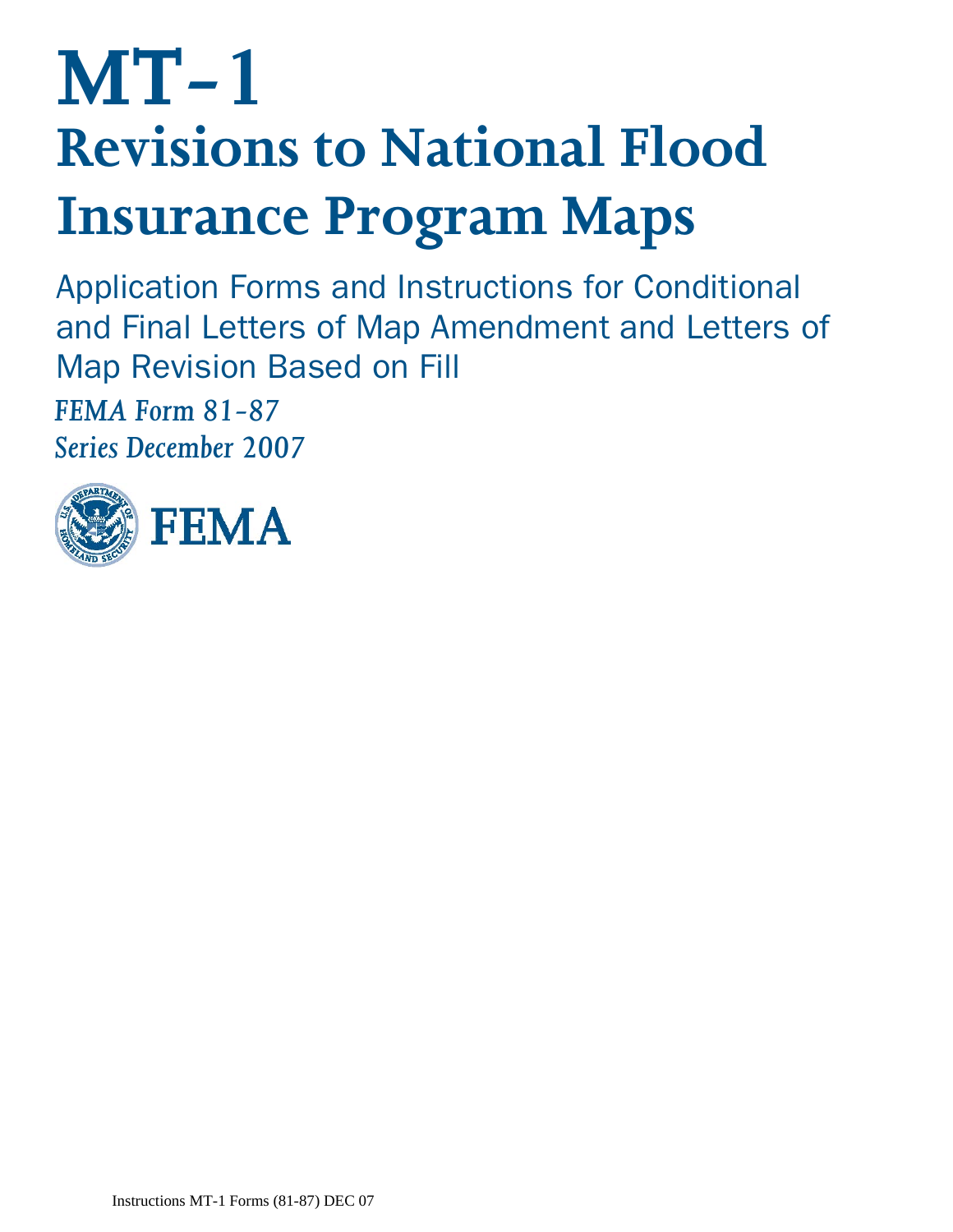# **MT-1 Revisions to National Flood Insurance Program Maps**

Application Forms and Instructions for Conditional and Final Letters of Map Amendment and Letters of Map Revision Based on Fill

*FEMA Form 81-87 Series December 2007* 

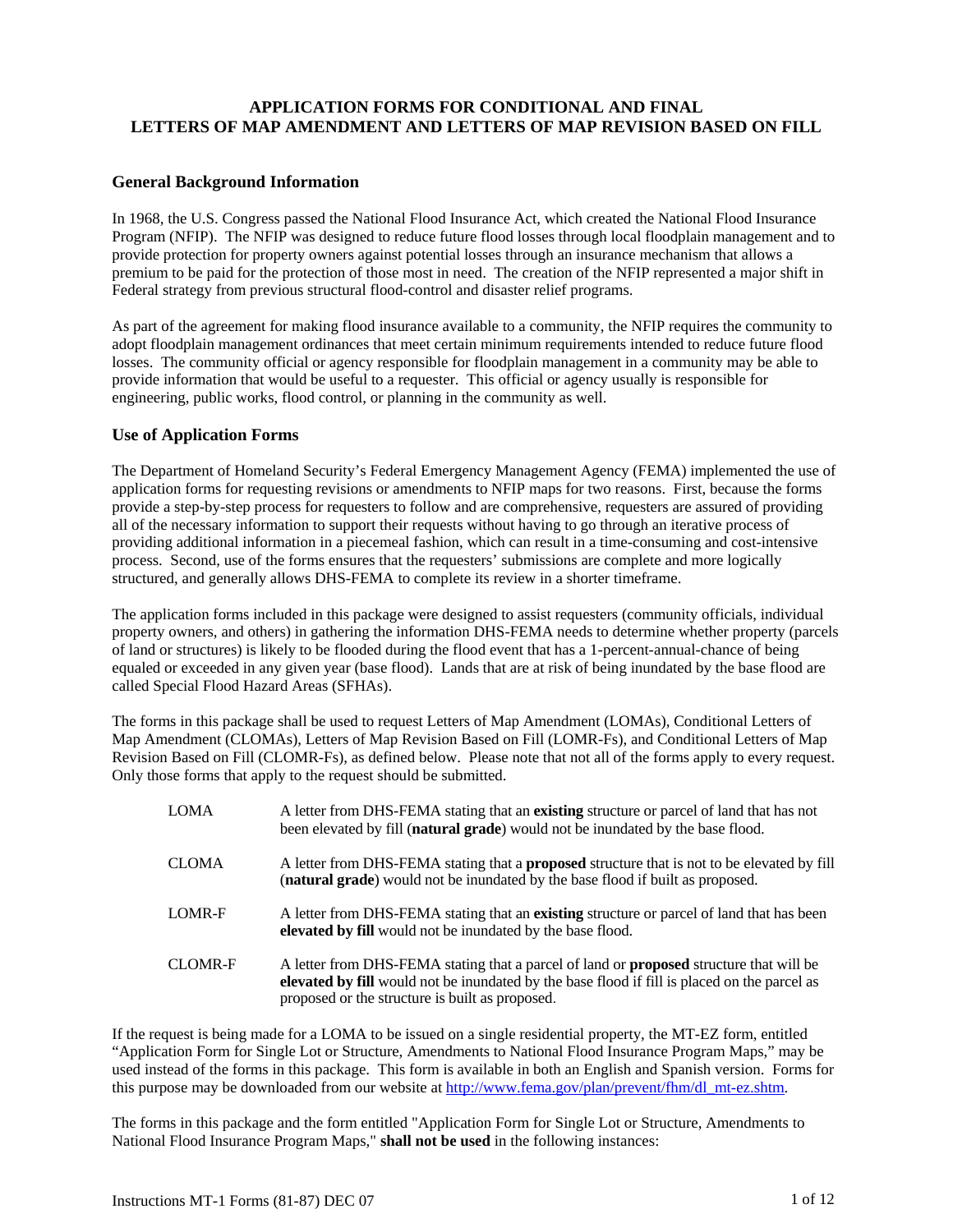# **APPLICATION FORMS FOR CONDITIONAL AND FINAL LETTERS OF MAP AMENDMENT AND LETTERS OF MAP REVISION BASED ON FILL**

## **General Background Information**

In 1968, the U.S. Congress passed the National Flood Insurance Act, which created the National Flood Insurance Program (NFIP). The NFIP was designed to reduce future flood losses through local floodplain management and to provide protection for property owners against potential losses through an insurance mechanism that allows a premium to be paid for the protection of those most in need. The creation of the NFIP represented a major shift in Federal strategy from previous structural flood-control and disaster relief programs.

As part of the agreement for making flood insurance available to a community, the NFIP requires the community to adopt floodplain management ordinances that meet certain minimum requirements intended to reduce future flood losses. The community official or agency responsible for floodplain management in a community may be able to provide information that would be useful to a requester. This official or agency usually is responsible for engineering, public works, flood control, or planning in the community as well.

#### **Use of Application Forms**

The Department of Homeland Security's Federal Emergency Management Agency (FEMA) implemented the use of application forms for requesting revisions or amendments to NFIP maps for two reasons. First, because the forms provide a step-by-step process for requesters to follow and are comprehensive, requesters are assured of providing all of the necessary information to support their requests without having to go through an iterative process of providing additional information in a piecemeal fashion, which can result in a time-consuming and cost-intensive process. Second, use of the forms ensures that the requesters' submissions are complete and more logically structured, and generally allows DHS-FEMA to complete its review in a shorter timeframe.

The application forms included in this package were designed to assist requesters (community officials, individual property owners, and others) in gathering the information DHS-FEMA needs to determine whether property (parcels of land or structures) is likely to be flooded during the flood event that has a 1-percent-annual-chance of being equaled or exceeded in any given year (base flood). Lands that are at risk of being inundated by the base flood are called Special Flood Hazard Areas (SFHAs).

The forms in this package shall be used to request Letters of Map Amendment (LOMAs), Conditional Letters of Map Amendment (CLOMAs), Letters of Map Revision Based on Fill (LOMR-Fs), and Conditional Letters of Map Revision Based on Fill (CLOMR-Fs), as defined below. Please note that not all of the forms apply to every request. Only those forms that apply to the request should be submitted.

| <b>LOMA</b>    | A letter from DHS-FEMA stating that an existing structure or parcel of land that has not<br>been elevated by fill (natural grade) would not be inundated by the base flood.                                                                              |
|----------------|----------------------------------------------------------------------------------------------------------------------------------------------------------------------------------------------------------------------------------------------------------|
| <b>CLOMA</b>   | A letter from DHS-FEMA stating that a <b>proposed</b> structure that is not to be elevated by fill<br>(natural grade) would not be inundated by the base flood if built as proposed.                                                                     |
| LOMR-F         | A letter from DHS-FEMA stating that an existing structure or parcel of land that has been<br>elevated by fill would not be inundated by the base flood.                                                                                                  |
| <b>CLOMR-F</b> | A letter from DHS-FEMA stating that a parcel of land or <b>proposed</b> structure that will be<br><b>elevated by fill</b> would not be inundated by the base flood if fill is placed on the parcel as<br>proposed or the structure is built as proposed. |

If the request is being made for a LOMA to be issued on a single residential property, the MT-EZ form, entitled "Application Form for Single Lot or Structure, Amendments to National Flood Insurance Program Maps," may be used instead of the forms in this package. This form is available in both an English and Spanish version. Forms for this purpose may be downloaded from our website at http://www.fema.gov/plan/prevent/fhm/dl\_mt-ez.shtm.

The forms in this package and the form entitled "Application Form for Single Lot or Structure, Amendments to National Flood Insurance Program Maps," **shall not be used** in the following instances: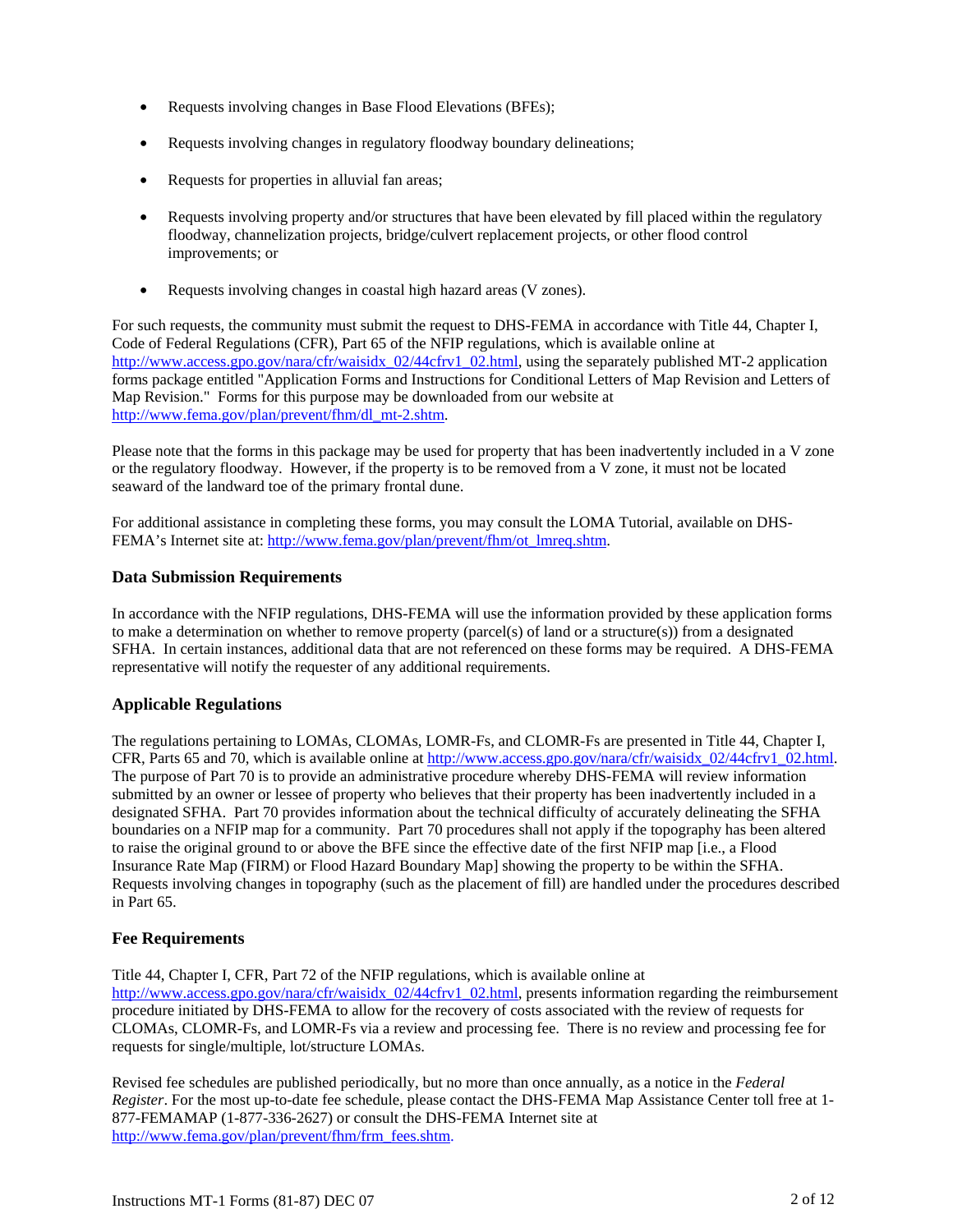- Requests involving changes in Base Flood Elevations (BFEs);
- Requests involving changes in regulatory floodway boundary delineations;
- Requests for properties in alluvial fan areas;
- Requests involving property and/or structures that have been elevated by fill placed within the regulatory floodway, channelization projects, bridge/culvert replacement projects, or other flood control improvements; or
- Requests involving changes in coastal high hazard areas (V zones).

For such requests, the community must submit the request to DHS-FEMA in accordance with Title 44, Chapter I, Code of Federal Regulations (CFR), Part 65 of the NFIP regulations, which is available online at http://www.access.gpo.gov/nara/cfr/waisidx\_02/44cfrv1\_02.html, using the separately published MT-2 application forms package entitled "Application Forms and Instructions for Conditional Letters of Map Revision and Letters of Map Revision." Forms for this purpose may be downloaded from our website at http://www.fema.gov/plan/prevent/fhm/dl\_mt-2.shtm.

Please note that the forms in this package may be used for property that has been inadvertently included in a V zone or the regulatory floodway. However, if the property is to be removed from a V zone, it must not be located seaward of the landward toe of the primary frontal dune.

For additional assistance in completing these forms, you may consult the LOMA Tutorial, available on DHS-FEMA's Internet site at: http://www.fema.gov/plan/prevent/fhm/ot\_lmreq.shtm.

#### **Data Submission Requirements**

In accordance with the NFIP regulations, DHS-FEMA will use the information provided by these application forms to make a determination on whether to remove property (parcel(s) of land or a structure(s)) from a designated SFHA. In certain instances, additional data that are not referenced on these forms may be required. A DHS-FEMA representative will notify the requester of any additional requirements.

#### **Applicable Regulations**

The regulations pertaining to LOMAs, CLOMAs, LOMR-Fs, and CLOMR-Fs are presented in Title 44, Chapter I, CFR, Parts 65 and 70, which is available online at http://www.access.gpo.gov/nara/cfr/waisidx\_02/44cfrv1\_02.html. The purpose of Part 70 is to provide an administrative procedure whereby DHS-FEMA will review information submitted by an owner or lessee of property who believes that their property has been inadvertently included in a designated SFHA. Part 70 provides information about the technical difficulty of accurately delineating the SFHA boundaries on a NFIP map for a community. Part 70 procedures shall not apply if the topography has been altered to raise the original ground to or above the BFE since the effective date of the first NFIP map [i.e., a Flood Insurance Rate Map (FIRM) or Flood Hazard Boundary Map] showing the property to be within the SFHA. Requests involving changes in topography (such as the placement of fill) are handled under the procedures described in Part 65.

# **Fee Requirements**

Title 44, Chapter I, CFR, Part 72 of the NFIP regulations, which is available online at http://www.access.gpo.gov/nara/cfr/waisidx\_02/44cfrv1\_02.html, presents information regarding the reimbursement procedure initiated by DHS-FEMA to allow for the recovery of costs associated with the review of requests for CLOMAs, CLOMR-Fs, and LOMR-Fs via a review and processing fee. There is no review and processing fee for requests for single/multiple, lot/structure LOMAs.

Revised fee schedules are published periodically, but no more than once annually, as a notice in the *Federal Register*. For the most up-to-date fee schedule, please contact the DHS-FEMA Map Assistance Center toll free at 1- 877-FEMAMAP (1-877-336-2627) or consult the DHS-FEMA Internet site at http://www.fema.gov/plan/prevent/fhm/frm\_fees.shtm.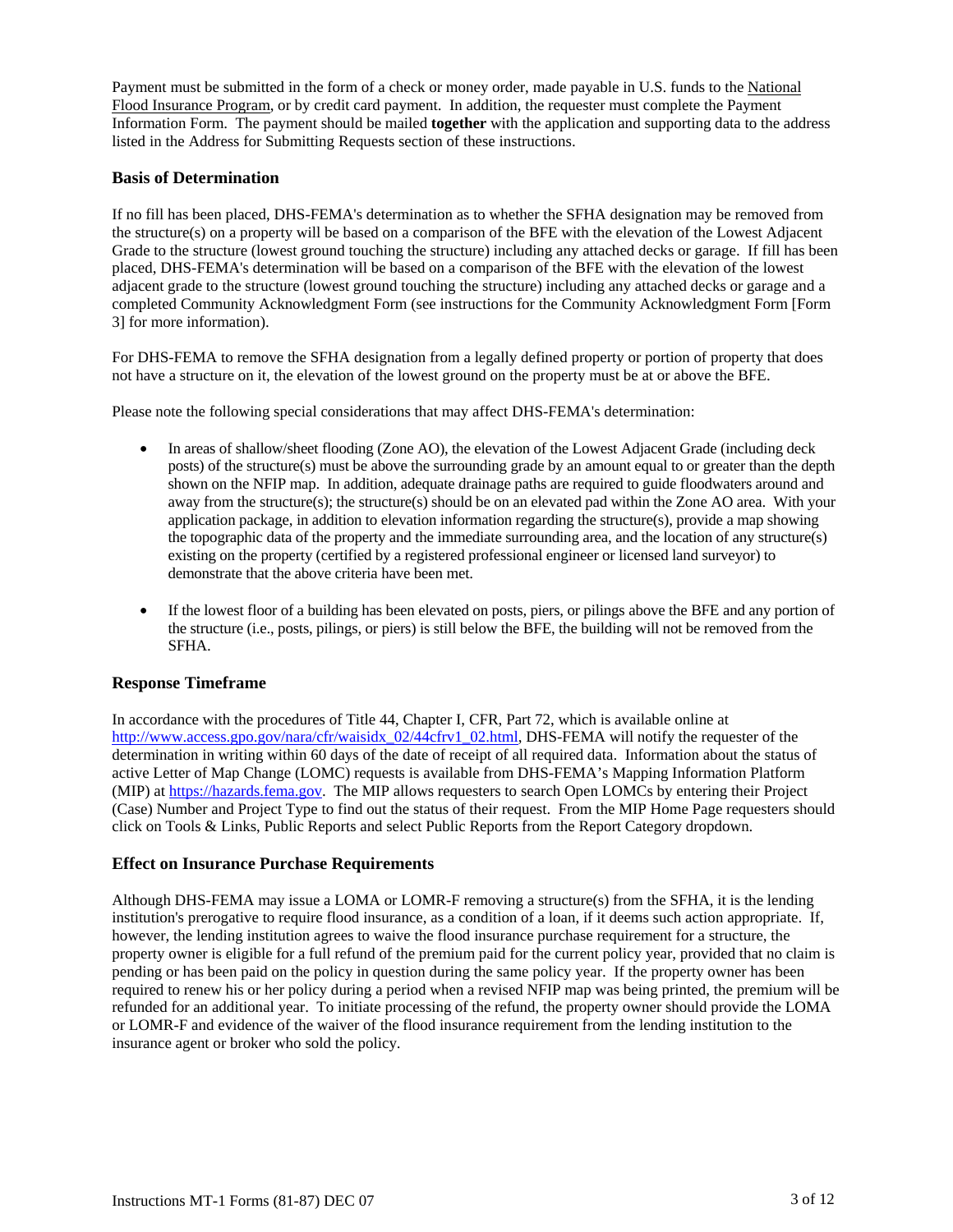Payment must be submitted in the form of a check or money order, made payable in U.S. funds to the National Flood Insurance Program, or by credit card payment. In addition, the requester must complete the Payment Information Form. The payment should be mailed **together** with the application and supporting data to the address listed in the Address for Submitting Requests section of these instructions.

#### **Basis of Determination**

If no fill has been placed, DHS-FEMA's determination as to whether the SFHA designation may be removed from the structure(s) on a property will be based on a comparison of the BFE with the elevation of the Lowest Adjacent Grade to the structure (lowest ground touching the structure) including any attached decks or garage. If fill has been placed, DHS-FEMA's determination will be based on a comparison of the BFE with the elevation of the lowest adjacent grade to the structure (lowest ground touching the structure) including any attached decks or garage and a completed Community Acknowledgment Form (see instructions for the Community Acknowledgment Form [Form 3] for more information).

For DHS-FEMA to remove the SFHA designation from a legally defined property or portion of property that does not have a structure on it, the elevation of the lowest ground on the property must be at or above the BFE.

Please note the following special considerations that may affect DHS-FEMA's determination:

- In areas of shallow/sheet flooding (Zone AO), the elevation of the Lowest Adjacent Grade (including deck posts) of the structure(s) must be above the surrounding grade by an amount equal to or greater than the depth shown on the NFIP map. In addition, adequate drainage paths are required to guide floodwaters around and away from the structure(s); the structure(s) should be on an elevated pad within the Zone AO area. With your application package, in addition to elevation information regarding the structure(s), provide a map showing the topographic data of the property and the immediate surrounding area, and the location of any structure(s) existing on the property (certified by a registered professional engineer or licensed land surveyor) to demonstrate that the above criteria have been met.
- If the lowest floor of a building has been elevated on posts, piers, or pilings above the BFE and any portion of the structure (i.e., posts, pilings, or piers) is still below the BFE, the building will not be removed from the SFHA.

#### **Response Timeframe**

In accordance with the procedures of Title 44, Chapter I, CFR, Part 72, which is available online at http://www.access.gpo.gov/nara/cfr/waisidx\_02/44cfrv1\_02.html, DHS-FEMA will notify the requester of the determination in writing within 60 days of the date of receipt of all required data. Information about the status of active Letter of Map Change (LOMC) requests is available from DHS-FEMA's Mapping Information Platform (MIP) at https://hazards.fema.gov. The MIP allows requesters to search Open LOMCs by entering their Project (Case) Number and Project Type to find out the status of their request. From the MIP Home Page requesters should click on Tools & Links, Public Reports and select Public Reports from the Report Category dropdown.

#### **Effect on Insurance Purchase Requirements**

Although DHS-FEMA may issue a LOMA or LOMR-F removing a structure(s) from the SFHA, it is the lending institution's prerogative to require flood insurance, as a condition of a loan, if it deems such action appropriate. If, however, the lending institution agrees to waive the flood insurance purchase requirement for a structure, the property owner is eligible for a full refund of the premium paid for the current policy year, provided that no claim is pending or has been paid on the policy in question during the same policy year. If the property owner has been required to renew his or her policy during a period when a revised NFIP map was being printed, the premium will be refunded for an additional year. To initiate processing of the refund, the property owner should provide the LOMA or LOMR-F and evidence of the waiver of the flood insurance requirement from the lending institution to the insurance agent or broker who sold the policy.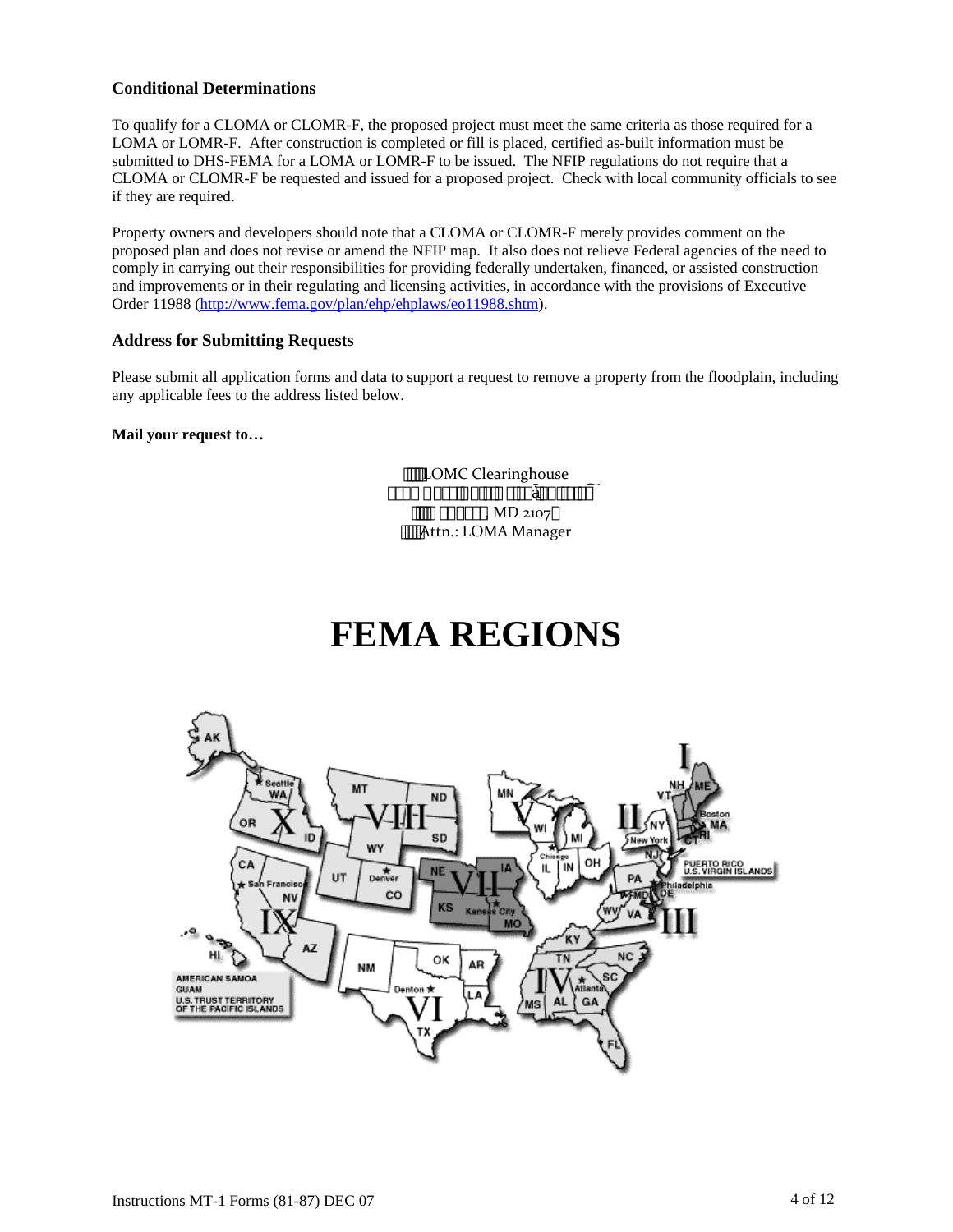#### **Conditional Determinations**

To qualify for a CLOMA or CLOMR-F, the proposed project must meet the same criteria as those required for a LOMA or LOMR-F. After construction is completed or fill is placed, certified as-built information must be submitted to DHS-FEMA for a LOMA or LOMR-F to be issued. The NFIP regulations do not require that a CLOMA or CLOMR-F be requested and issued for a proposed project. Check with local community officials to see if they are required.

Property owners and developers should note that a CLOMA or CLOMR-F merely provides comment on the proposed plan and does not revise or amend the NFIP map. It also does not relieve Federal agencies of the need to comply in carrying out their responsibilities for providing federally undertaken, financed, or assisted construction and improvements or in their regulating and licensing activities, in accordance with the provisions of Executive Order 11988 (http://www.fema.gov/plan/ehp/ehplaws/eo11988.shtm).

#### **Address for Submitting Requests**

Please submit all application forms and data to support a request to remove a property from the floodplain, including any applicable fees to the address listed below.

#### **Mail your request to…**

LOMC Clearinghouse  $\cdot \cdot \cdot \cdot$  « $\bullet \cdot \cdot \cdot \cdot \cdot$   $\bullet \cdot \cdot \cdot \cdot$   $\bullet \cdot \cdot \cdot \cdot$  $m_{\tilde{B}}a_{\kappa^2}$  ( $\Im$  MD 2107 Attn.: LOMA Manager

# **FEMA REGIONS**

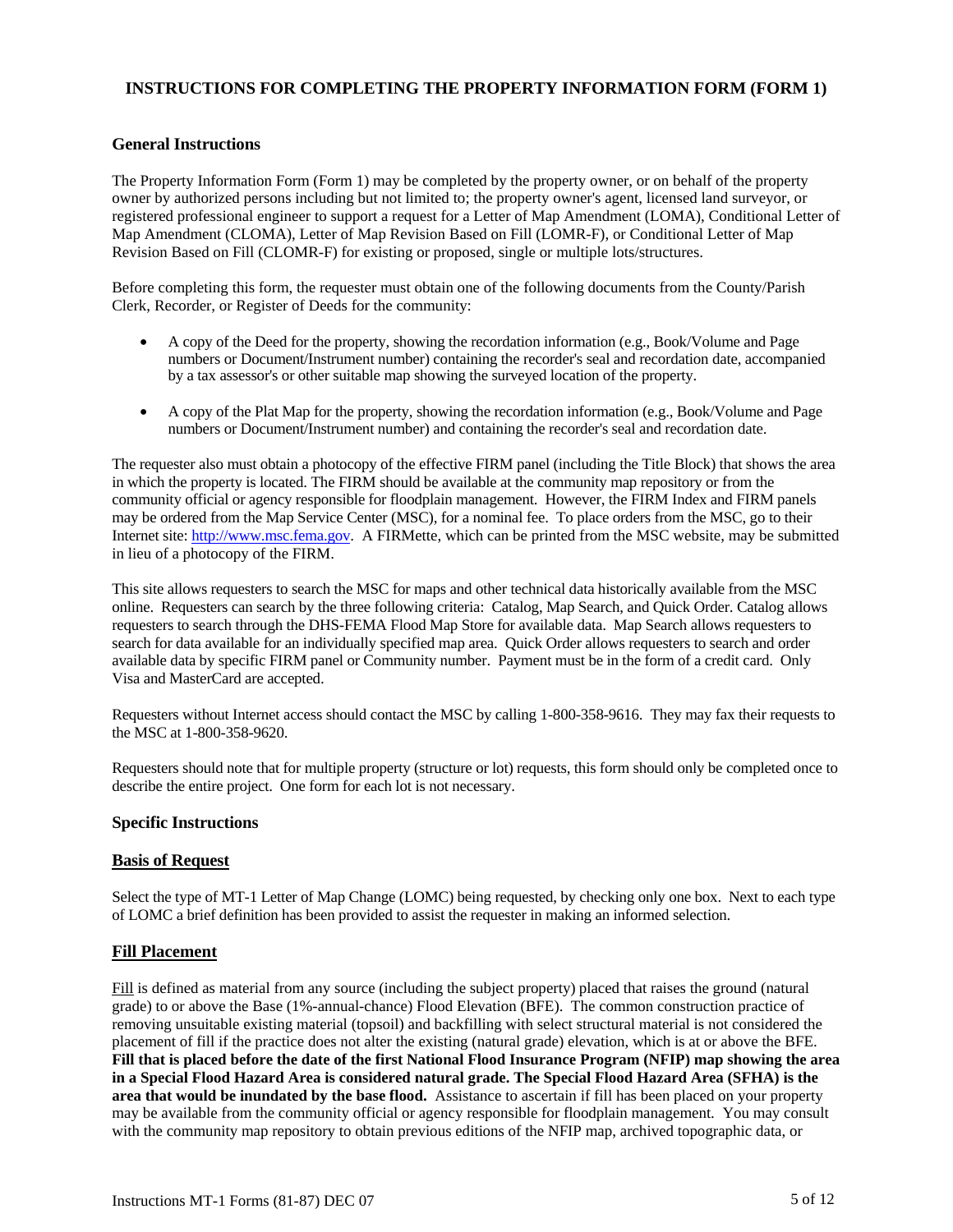# **INSTRUCTIONS FOR COMPLETING THE PROPERTY INFORMATION FORM (FORM 1)**

#### **General Instructions**

The Property Information Form (Form 1) may be completed by the property owner, or on behalf of the property owner by authorized persons including but not limited to; the property owner's agent, licensed land surveyor, or registered professional engineer to support a request for a Letter of Map Amendment (LOMA), Conditional Letter of Map Amendment (CLOMA), Letter of Map Revision Based on Fill (LOMR-F), or Conditional Letter of Map Revision Based on Fill (CLOMR-F) for existing or proposed, single or multiple lots/structures.

Before completing this form, the requester must obtain one of the following documents from the County/Parish Clerk, Recorder, or Register of Deeds for the community:

- A copy of the Deed for the property, showing the recordation information (e.g., Book/Volume and Page numbers or Document/Instrument number) containing the recorder's seal and recordation date, accompanied by a tax assessor's or other suitable map showing the surveyed location of the property.
- A copy of the Plat Map for the property, showing the recordation information (e.g., Book/Volume and Page numbers or Document/Instrument number) and containing the recorder's seal and recordation date.

The requester also must obtain a photocopy of the effective FIRM panel (including the Title Block) that shows the area in which the property is located. The FIRM should be available at the community map repository or from the community official or agency responsible for floodplain management. However, the FIRM Index and FIRM panels may be ordered from the Map Service Center (MSC), for a nominal fee. To place orders from the MSC, go to their Internet site: http://www.msc.fema.gov. A FIRMette, which can be printed from the MSC website, may be submitted in lieu of a photocopy of the FIRM.

This site allows requesters to search the MSC for maps and other technical data historically available from the MSC online. Requesters can search by the three following criteria: Catalog, Map Search, and Quick Order. Catalog allows requesters to search through the DHS-FEMA Flood Map Store for available data. Map Search allows requesters to search for data available for an individually specified map area. Quick Order allows requesters to search and order available data by specific FIRM panel or Community number. Payment must be in the form of a credit card. Only Visa and MasterCard are accepted.

Requesters without Internet access should contact the MSC by calling 1-800-358-9616. They may fax their requests to the MSC at 1-800-358-9620.

Requesters should note that for multiple property (structure or lot) requests, this form should only be completed once to describe the entire project. One form for each lot is not necessary.

#### **Specific Instructions**

#### **Basis of Request**

Select the type of MT-1 Letter of Map Change (LOMC) being requested, by checking only one box. Next to each type of LOMC a brief definition has been provided to assist the requester in making an informed selection.

#### **Fill Placement**

Fill is defined as material from any source (including the subject property) placed that raises the ground (natural grade) to or above the Base (1%-annual-chance) Flood Elevation (BFE). The common construction practice of removing unsuitable existing material (topsoil) and backfilling with select structural material is not considered the placement of fill if the practice does not alter the existing (natural grade) elevation, which is at or above the BFE. **Fill that is placed before the date of the first National Flood Insurance Program (NFIP) map showing the area in a Special Flood Hazard Area is considered natural grade. The Special Flood Hazard Area (SFHA) is the area that would be inundated by the base flood.** Assistance to ascertain if fill has been placed on your property may be available from the community official or agency responsible for floodplain management. You may consult with the community map repository to obtain previous editions of the NFIP map, archived topographic data, or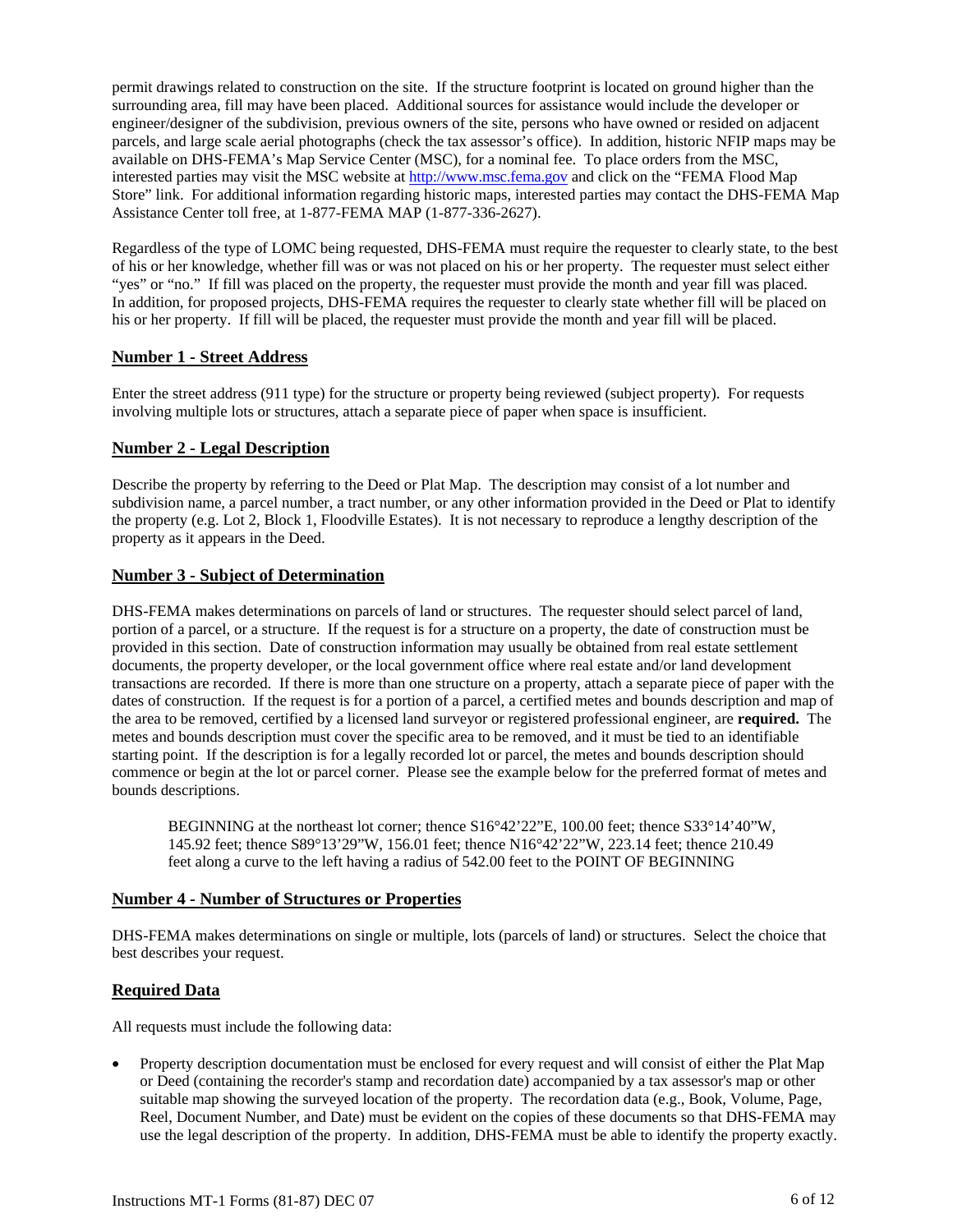permit drawings related to construction on the site. If the structure footprint is located on ground higher than the surrounding area, fill may have been placed. Additional sources for assistance would include the developer or engineer/designer of the subdivision, previous owners of the site, persons who have owned or resided on adjacent parcels, and large scale aerial photographs (check the tax assessor's office). In addition, historic NFIP maps may be available on DHS-FEMA's Map Service Center (MSC), for a nominal fee. To place orders from the MSC, interested parties may visit the MSC website at http://www.msc.fema.gov and click on the "FEMA Flood Map Store" link. For additional information regarding historic maps, interested parties may contact the DHS-FEMA Map Assistance Center toll free, at 1-877-FEMA MAP (1-877-336-2627).

Regardless of the type of LOMC being requested, DHS-FEMA must require the requester to clearly state, to the best of his or her knowledge, whether fill was or was not placed on his or her property. The requester must select either "yes" or "no." If fill was placed on the property, the requester must provide the month and year fill was placed. In addition, for proposed projects, DHS-FEMA requires the requester to clearly state whether fill will be placed on his or her property. If fill will be placed, the requester must provide the month and year fill will be placed.

#### **Number 1 - Street Address**

Enter the street address (911 type) for the structure or property being reviewed (subject property). For requests involving multiple lots or structures, attach a separate piece of paper when space is insufficient.

#### **Number 2 - Legal Description**

Describe the property by referring to the Deed or Plat Map. The description may consist of a lot number and subdivision name, a parcel number, a tract number, or any other information provided in the Deed or Plat to identify the property (e.g. Lot 2, Block 1, Floodville Estates). It is not necessary to reproduce a lengthy description of the property as it appears in the Deed.

#### **Number 3 - Subject of Determination**

DHS-FEMA makes determinations on parcels of land or structures. The requester should select parcel of land, portion of a parcel, or a structure. If the request is for a structure on a property, the date of construction must be provided in this section. Date of construction information may usually be obtained from real estate settlement documents, the property developer, or the local government office where real estate and/or land development transactions are recorded. If there is more than one structure on a property, attach a separate piece of paper with the dates of construction. If the request is for a portion of a parcel, a certified metes and bounds description and map of the area to be removed, certified by a licensed land surveyor or registered professional engineer, are **required.** The metes and bounds description must cover the specific area to be removed, and it must be tied to an identifiable starting point. If the description is for a legally recorded lot or parcel, the metes and bounds description should commence or begin at the lot or parcel corner. Please see the example below for the preferred format of metes and bounds descriptions.

BEGINNING at the northeast lot corner; thence S16°42'22"E, 100.00 feet; thence S33°14'40"W, 145.92 feet; thence S89°13'29"W, 156.01 feet; thence N16°42'22"W, 223.14 feet; thence 210.49 feet along a curve to the left having a radius of 542.00 feet to the POINT OF BEGINNING

# **Number 4 - Number of Structures or Properties**

DHS-FEMA makes determinations on single or multiple, lots (parcels of land) or structures. Select the choice that best describes your request.

# **Required Data**

All requests must include the following data:

• Property description documentation must be enclosed for every request and will consist of either the Plat Map or Deed (containing the recorder's stamp and recordation date) accompanied by a tax assessor's map or other suitable map showing the surveyed location of the property. The recordation data (e.g., Book, Volume, Page, Reel, Document Number, and Date) must be evident on the copies of these documents so that DHS-FEMA may use the legal description of the property. In addition, DHS-FEMA must be able to identify the property exactly.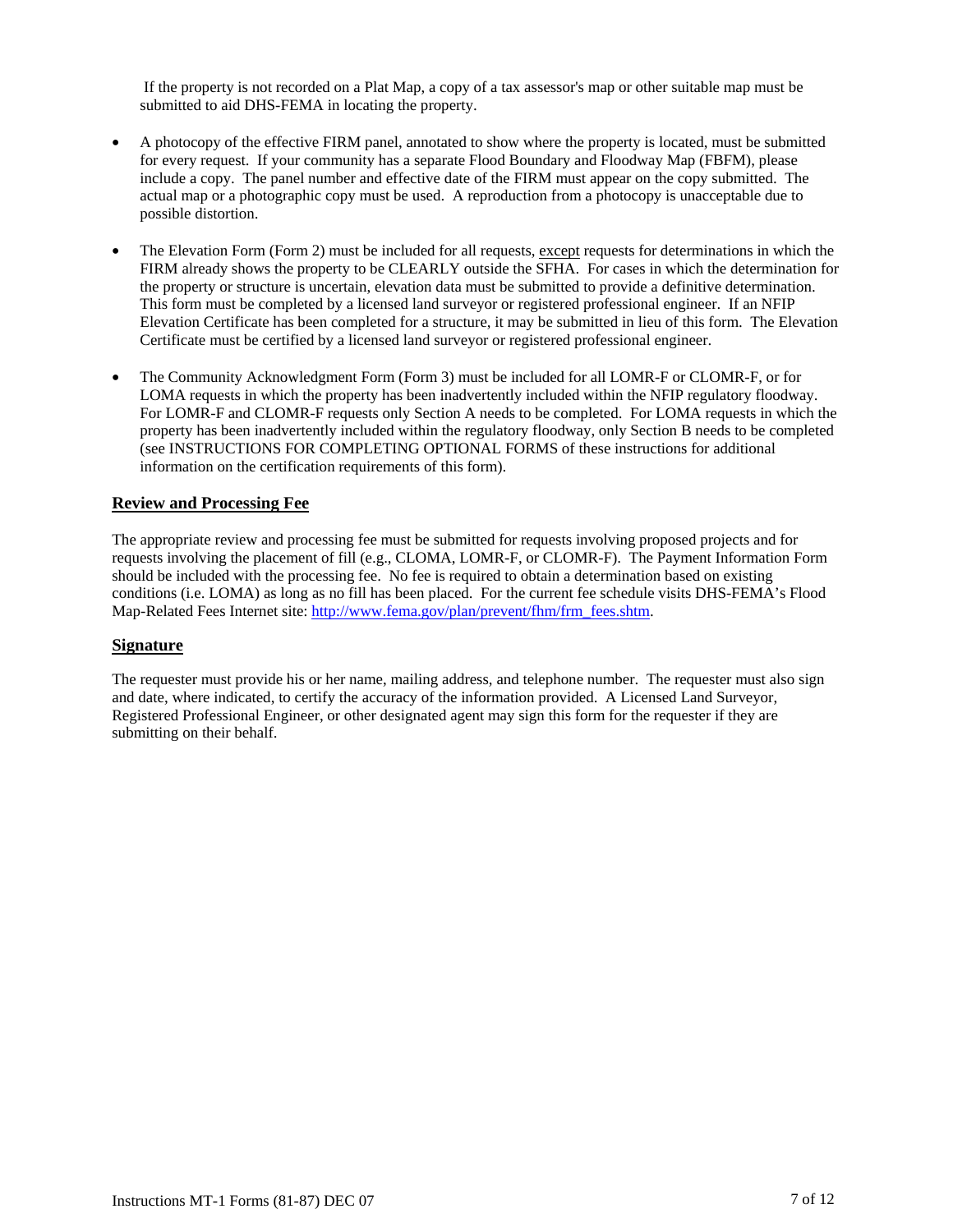If the property is not recorded on a Plat Map, a copy of a tax assessor's map or other suitable map must be submitted to aid DHS-FEMA in locating the property.

- A photocopy of the effective FIRM panel, annotated to show where the property is located, must be submitted for every request. If your community has a separate Flood Boundary and Floodway Map (FBFM), please include a copy. The panel number and effective date of the FIRM must appear on the copy submitted. The actual map or a photographic copy must be used. A reproduction from a photocopy is unacceptable due to possible distortion.
- The Elevation Form (Form 2) must be included for all requests, except requests for determinations in which the FIRM already shows the property to be CLEARLY outside the SFHA. For cases in which the determination for the property or structure is uncertain, elevation data must be submitted to provide a definitive determination. This form must be completed by a licensed land surveyor or registered professional engineer. If an NFIP Elevation Certificate has been completed for a structure, it may be submitted in lieu of this form. The Elevation Certificate must be certified by a licensed land surveyor or registered professional engineer.
- The Community Acknowledgment Form (Form 3) must be included for all LOMR-F or CLOMR-F, or for LOMA requests in which the property has been inadvertently included within the NFIP regulatory floodway. For LOMR-F and CLOMR-F requests only Section A needs to be completed. For LOMA requests in which the property has been inadvertently included within the regulatory floodway, only Section B needs to be completed (see INSTRUCTIONS FOR COMPLETING OPTIONAL FORMS of these instructions for additional information on the certification requirements of this form).

#### **Review and Processing Fee**

The appropriate review and processing fee must be submitted for requests involving proposed projects and for requests involving the placement of fill (e.g., CLOMA, LOMR-F, or CLOMR-F). The Payment Information Form should be included with the processing fee. No fee is required to obtain a determination based on existing conditions (i.e. LOMA) as long as no fill has been placed. For the current fee schedule visits DHS-FEMA's Flood Map-Related Fees Internet site: http://www.fema.gov/plan/prevent/fhm/frm\_fees.shtm.

#### **Signature**

The requester must provide his or her name, mailing address, and telephone number. The requester must also sign and date, where indicated, to certify the accuracy of the information provided. A Licensed Land Surveyor, Registered Professional Engineer, or other designated agent may sign this form for the requester if they are submitting on their behalf.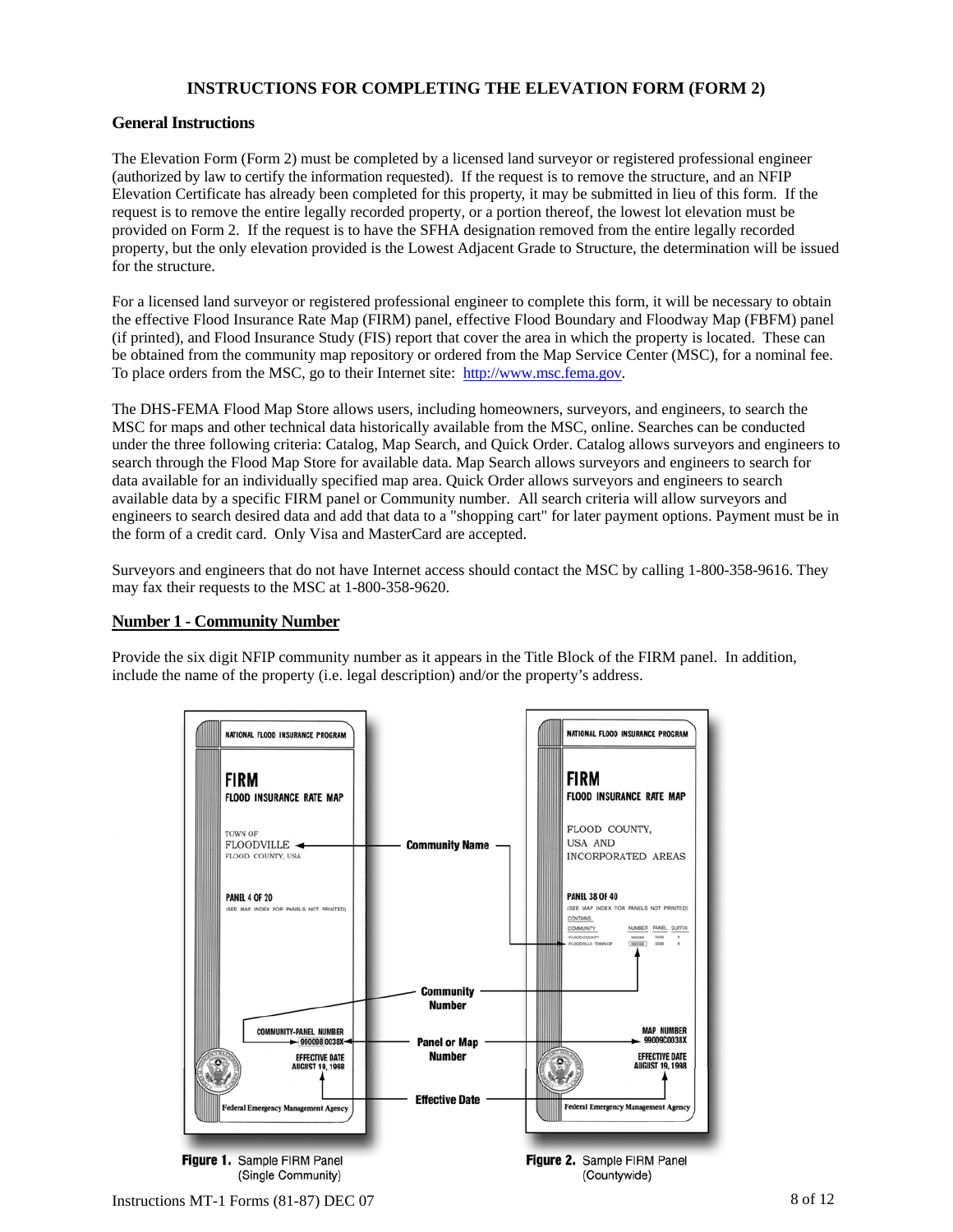# **INSTRUCTIONS FOR COMPLETING THE ELEVATION FORM (FORM 2)**

#### **General Instructions**

The Elevation Form (Form 2) must be completed by a licensed land surveyor or registered professional engineer (authorized by law to certify the information requested). If the request is to remove the structure, and an NFIP Elevation Certificate has already been completed for this property, it may be submitted in lieu of this form. If the request is to remove the entire legally recorded property, or a portion thereof, the lowest lot elevation must be provided on Form 2. If the request is to have the SFHA designation removed from the entire legally recorded property, but the only elevation provided is the Lowest Adjacent Grade to Structure, the determination will be issued for the structure.

For a licensed land surveyor or registered professional engineer to complete this form, it will be necessary to obtain the effective Flood Insurance Rate Map (FIRM) panel, effective Flood Boundary and Floodway Map (FBFM) panel (if printed), and Flood Insurance Study (FIS) report that cover the area in which the property is located. These can be obtained from the community map repository or ordered from the Map Service Center (MSC), for a nominal fee. To place orders from the MSC, go to their Internet site: http://www.msc.fema.gov.

The DHS-FEMA Flood Map Store allows users, including homeowners, surveyors, and engineers, to search the MSC for maps and other technical data historically available from the MSC, online. Searches can be conducted under the three following criteria: Catalog, Map Search, and Quick Order. Catalog allows surveyors and engineers to search through the Flood Map Store for available data. Map Search allows surveyors and engineers to search for data available for an individually specified map area. Quick Order allows surveyors and engineers to search available data by a specific FIRM panel or Community number. All search criteria will allow surveyors and engineers to search desired data and add that data to a "shopping cart" for later payment options. Payment must be in the form of a credit card. Only Visa and MasterCard are accepted.

Surveyors and engineers that do not have Internet access should contact the MSC by calling 1-800-358-9616. They may fax their requests to the MSC at 1-800-358-9620.

#### **Number 1 - Community Number**

Provide the six digit NFIP community number as it appears in the Title Block of the FIRM panel. In addition, include the name of the property (i.e. legal description) and/or the property's address.



Instructions MT-1 Forms  $(81-87)$  DEC 07 8 of 12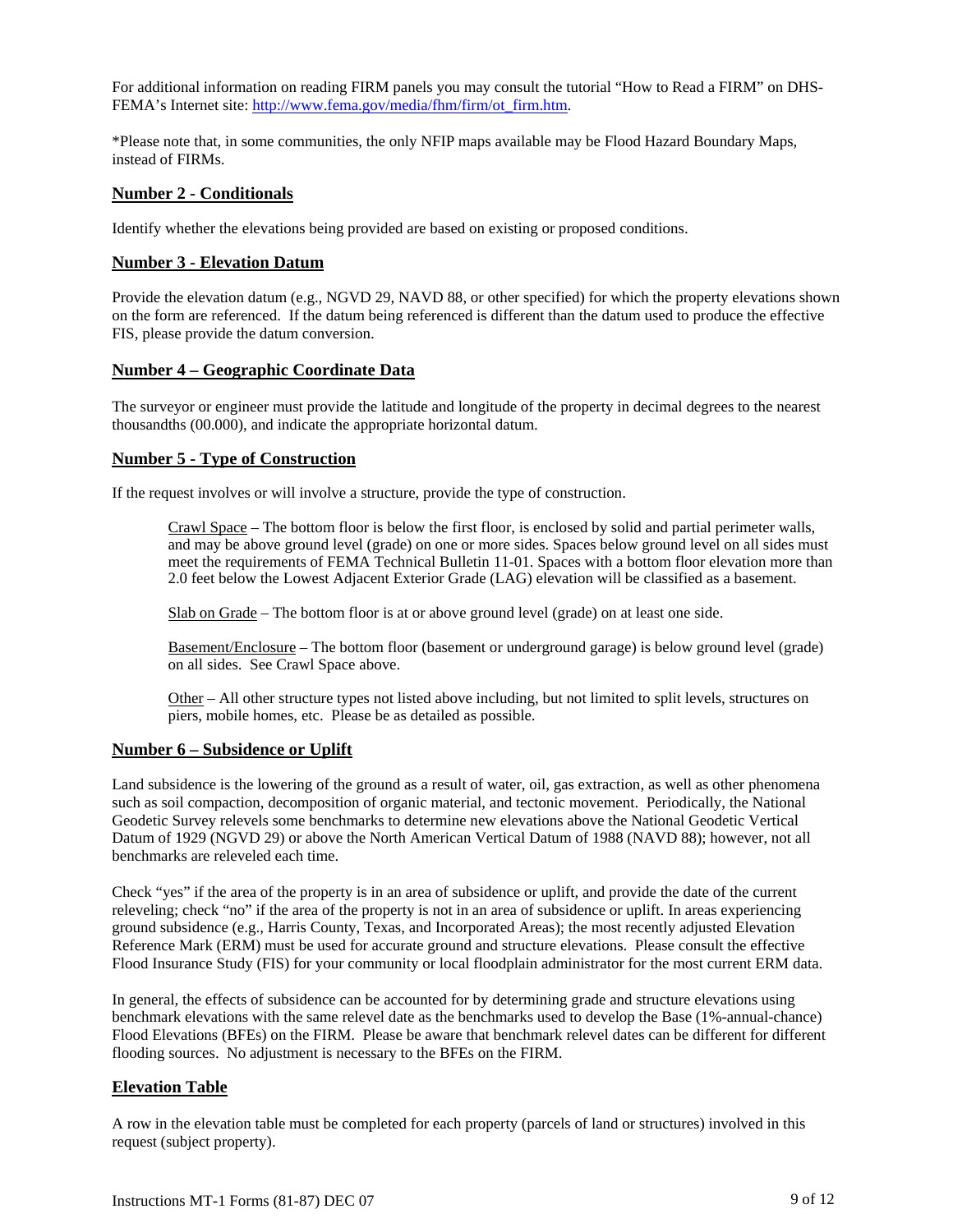For additional information on reading FIRM panels you may consult the tutorial "How to Read a FIRM" on DHS-FEMA's Internet site: http://www.fema.gov/media/fhm/firm/ot\_firm.htm.

\*Please note that, in some communities, the only NFIP maps available may be Flood Hazard Boundary Maps, instead of FIRMs.

#### **Number 2 - Conditionals**

Identify whether the elevations being provided are based on existing or proposed conditions.

#### **Number 3 - Elevation Datum**

Provide the elevation datum (e.g., NGVD 29, NAVD 88, or other specified) for which the property elevations shown on the form are referenced. If the datum being referenced is different than the datum used to produce the effective FIS, please provide the datum conversion.

#### **Number 4 – Geographic Coordinate Data**

The surveyor or engineer must provide the latitude and longitude of the property in decimal degrees to the nearest thousandths (00.000), and indicate the appropriate horizontal datum.

#### **Number 5 - Type of Construction**

If the request involves or will involve a structure, provide the type of construction.

Crawl Space – The bottom floor is below the first floor, is enclosed by solid and partial perimeter walls, and may be above ground level (grade) on one or more sides. Spaces below ground level on all sides must meet the requirements of FEMA Technical Bulletin 11-01. Spaces with a bottom floor elevation more than 2.0 feet below the Lowest Adjacent Exterior Grade (LAG) elevation will be classified as a basement.

Slab on Grade – The bottom floor is at or above ground level (grade) on at least one side.

Basement/Enclosure – The bottom floor (basement or underground garage) is below ground level (grade) on all sides. See Crawl Space above.

Other – All other structure types not listed above including, but not limited to split levels, structures on piers, mobile homes, etc. Please be as detailed as possible.

#### **Number 6 – Subsidence or Uplift**

Land subsidence is the lowering of the ground as a result of water, oil, gas extraction, as well as other phenomena such as soil compaction, decomposition of organic material, and tectonic movement. Periodically, the National Geodetic Survey relevels some benchmarks to determine new elevations above the National Geodetic Vertical Datum of 1929 (NGVD 29) or above the North American Vertical Datum of 1988 (NAVD 88); however, not all benchmarks are releveled each time.

Check "yes" if the area of the property is in an area of subsidence or uplift, and provide the date of the current releveling; check "no" if the area of the property is not in an area of subsidence or uplift. In areas experiencing ground subsidence (e.g., Harris County, Texas, and Incorporated Areas); the most recently adjusted Elevation Reference Mark (ERM) must be used for accurate ground and structure elevations. Please consult the effective Flood Insurance Study (FIS) for your community or local floodplain administrator for the most current ERM data.

In general, the effects of subsidence can be accounted for by determining grade and structure elevations using benchmark elevations with the same relevel date as the benchmarks used to develop the Base (1%-annual-chance) Flood Elevations (BFEs) on the FIRM. Please be aware that benchmark relevel dates can be different for different flooding sources. No adjustment is necessary to the BFEs on the FIRM.

#### **Elevation Table**

A row in the elevation table must be completed for each property (parcels of land or structures) involved in this request (subject property).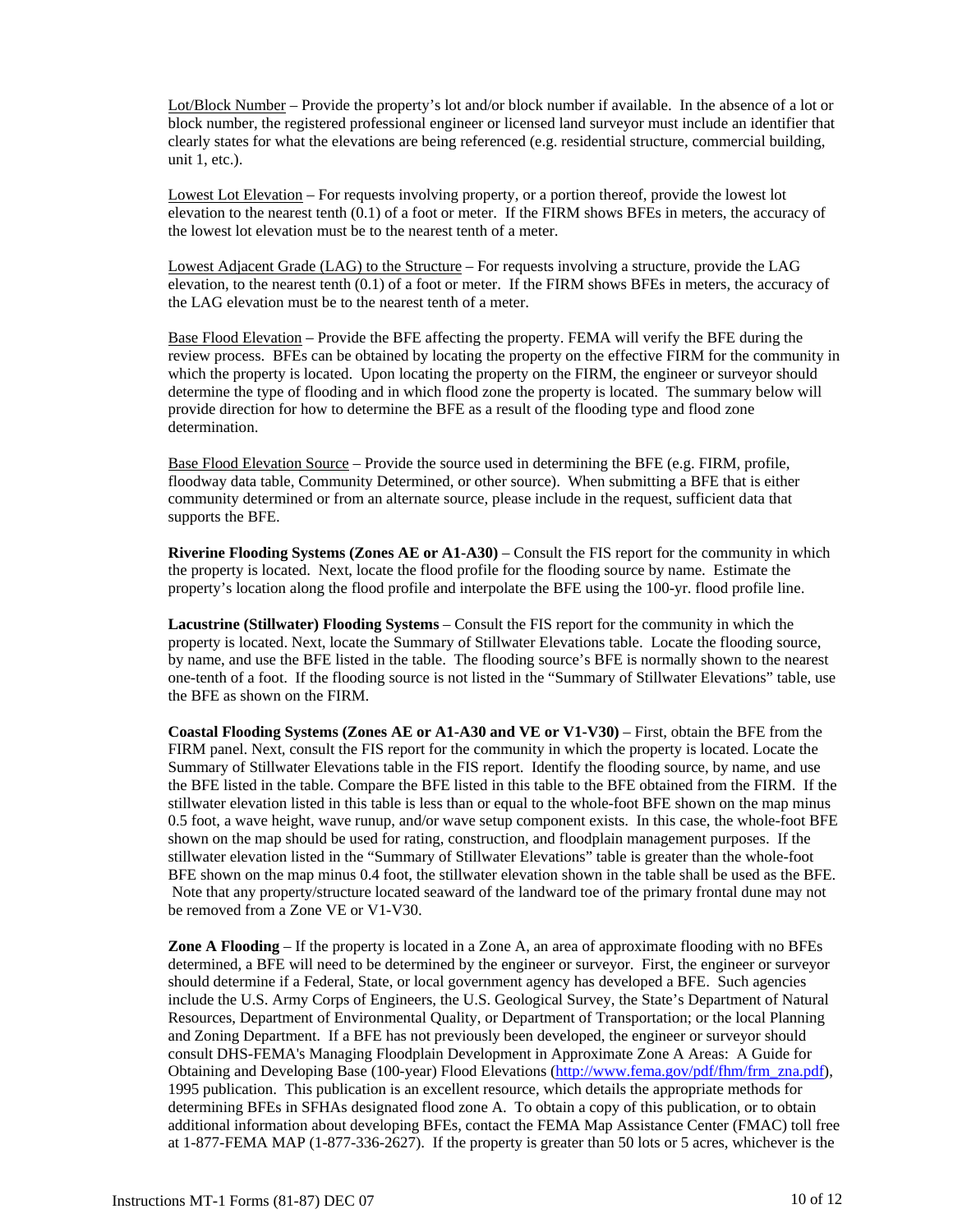Lot/Block Number – Provide the property's lot and/or block number if available. In the absence of a lot or block number, the registered professional engineer or licensed land surveyor must include an identifier that clearly states for what the elevations are being referenced (e.g. residential structure, commercial building, unit 1, etc.).

Lowest Lot Elevation – For requests involving property, or a portion thereof, provide the lowest lot elevation to the nearest tenth (0.1) of a foot or meter. If the FIRM shows BFEs in meters, the accuracy of the lowest lot elevation must be to the nearest tenth of a meter.

Lowest Adjacent Grade (LAG) to the Structure – For requests involving a structure, provide the LAG elevation, to the nearest tenth (0.1) of a foot or meter. If the FIRM shows BFEs in meters, the accuracy of the LAG elevation must be to the nearest tenth of a meter.

Base Flood Elevation – Provide the BFE affecting the property. FEMA will verify the BFE during the review process. BFEs can be obtained by locating the property on the effective FIRM for the community in which the property is located. Upon locating the property on the FIRM, the engineer or surveyor should determine the type of flooding and in which flood zone the property is located. The summary below will provide direction for how to determine the BFE as a result of the flooding type and flood zone determination.

Base Flood Elevation Source – Provide the source used in determining the BFE (e.g. FIRM, profile, floodway data table, Community Determined, or other source). When submitting a BFE that is either community determined or from an alternate source, please include in the request, sufficient data that supports the BFE.

**Riverine Flooding Systems (Zones AE or A1-A30)** – Consult the FIS report for the community in which the property is located. Next, locate the flood profile for the flooding source by name. Estimate the property's location along the flood profile and interpolate the BFE using the 100-yr. flood profile line.

**Lacustrine (Stillwater) Flooding Systems** – Consult the FIS report for the community in which the property is located. Next, locate the Summary of Stillwater Elevations table. Locate the flooding source, by name, and use the BFE listed in the table. The flooding source's BFE is normally shown to the nearest one-tenth of a foot. If the flooding source is not listed in the "Summary of Stillwater Elevations" table, use the BFE as shown on the FIRM.

**Coastal Flooding Systems (Zones AE or A1-A30 and VE or V1-V30)** – First, obtain the BFE from the FIRM panel. Next, consult the FIS report for the community in which the property is located. Locate the Summary of Stillwater Elevations table in the FIS report. Identify the flooding source, by name, and use the BFE listed in the table. Compare the BFE listed in this table to the BFE obtained from the FIRM. If the stillwater elevation listed in this table is less than or equal to the whole-foot BFE shown on the map minus 0.5 foot, a wave height, wave runup, and/or wave setup component exists. In this case, the whole-foot BFE shown on the map should be used for rating, construction, and floodplain management purposes. If the stillwater elevation listed in the "Summary of Stillwater Elevations" table is greater than the whole-foot BFE shown on the map minus 0.4 foot, the stillwater elevation shown in the table shall be used as the BFE. Note that any property/structure located seaward of the landward toe of the primary frontal dune may not be removed from a Zone VE or V1-V30.

**Zone A Flooding** – If the property is located in a Zone A, an area of approximate flooding with no BFEs determined, a BFE will need to be determined by the engineer or surveyor. First, the engineer or surveyor should determine if a Federal, State, or local government agency has developed a BFE. Such agencies include the U.S. Army Corps of Engineers, the U.S. Geological Survey, the State's Department of Natural Resources, Department of Environmental Quality, or Department of Transportation; or the local Planning and Zoning Department. If a BFE has not previously been developed, the engineer or surveyor should consult DHS-FEMA's Managing Floodplain Development in Approximate Zone A Areas: A Guide for Obtaining and Developing Base (100-year) Flood Elevations (http://www.fema.gov/pdf/fhm/frm\_zna.pdf), 1995 publication. This publication is an excellent resource, which details the appropriate methods for determining BFEs in SFHAs designated flood zone A. To obtain a copy of this publication, or to obtain additional information about developing BFEs, contact the FEMA Map Assistance Center (FMAC) toll free at 1-877-FEMA MAP (1-877-336-2627). If the property is greater than 50 lots or 5 acres, whichever is the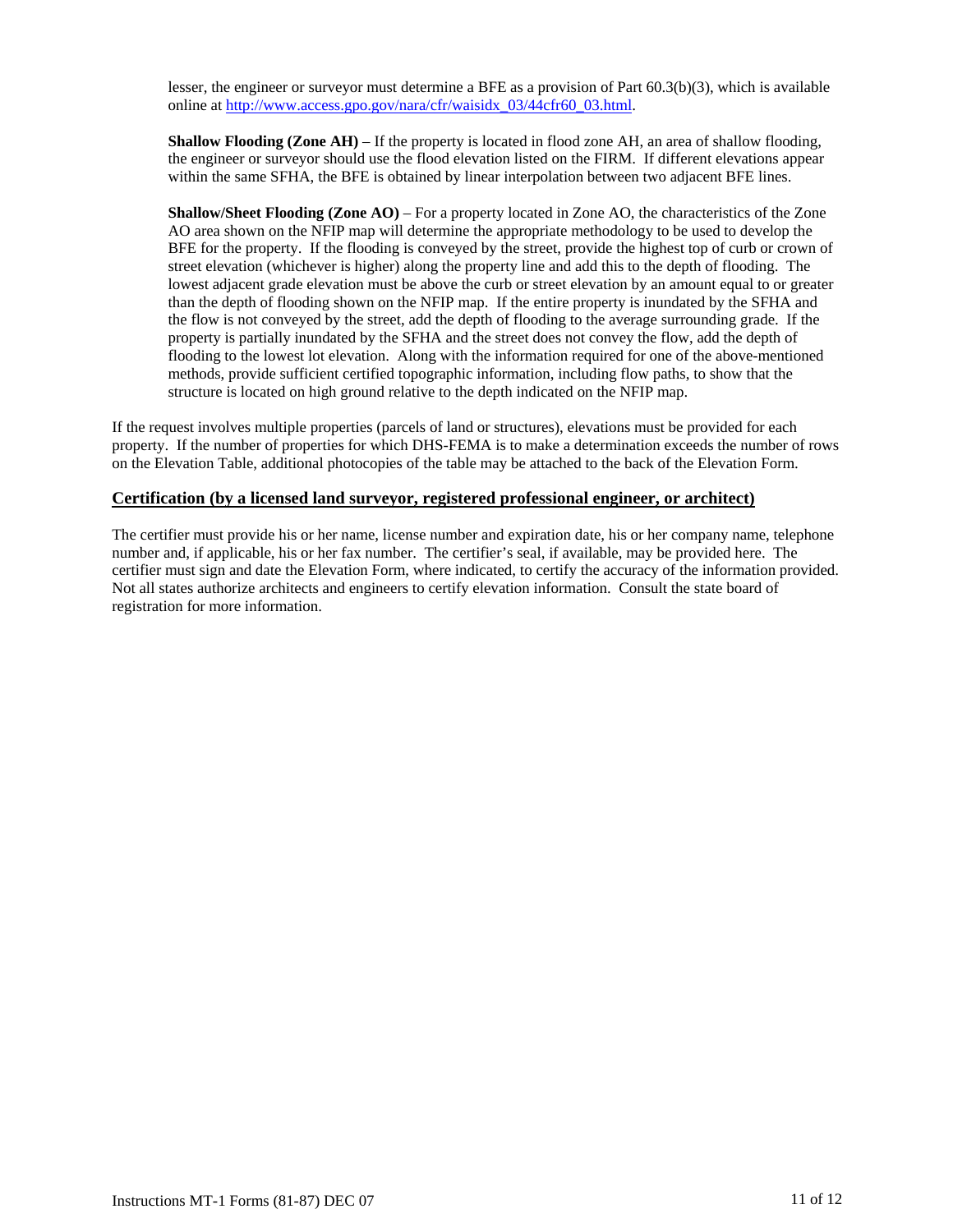lesser, the engineer or surveyor must determine a BFE as a provision of Part 60.3(b)(3), which is available online at http://www.access.gpo.gov/nara/cfr/waisidx\_03/44cfr60\_03.html.

**Shallow Flooding (Zone AH)** – If the property is located in flood zone AH, an area of shallow flooding, the engineer or surveyor should use the flood elevation listed on the FIRM. If different elevations appear within the same SFHA, the BFE is obtained by linear interpolation between two adjacent BFE lines.

**Shallow/Sheet Flooding (Zone AO)** – For a property located in Zone AO, the characteristics of the Zone AO area shown on the NFIP map will determine the appropriate methodology to be used to develop the BFE for the property. If the flooding is conveyed by the street, provide the highest top of curb or crown of street elevation (whichever is higher) along the property line and add this to the depth of flooding. The lowest adjacent grade elevation must be above the curb or street elevation by an amount equal to or greater than the depth of flooding shown on the NFIP map. If the entire property is inundated by the SFHA and the flow is not conveyed by the street, add the depth of flooding to the average surrounding grade. If the property is partially inundated by the SFHA and the street does not convey the flow, add the depth of flooding to the lowest lot elevation. Along with the information required for one of the above-mentioned methods, provide sufficient certified topographic information, including flow paths, to show that the structure is located on high ground relative to the depth indicated on the NFIP map.

If the request involves multiple properties (parcels of land or structures), elevations must be provided for each property. If the number of properties for which DHS-FEMA is to make a determination exceeds the number of rows on the Elevation Table, additional photocopies of the table may be attached to the back of the Elevation Form.

#### **Certification (by a licensed land surveyor, registered professional engineer, or architect)**

The certifier must provide his or her name, license number and expiration date, his or her company name, telephone number and, if applicable, his or her fax number. The certifier's seal, if available, may be provided here. The certifier must sign and date the Elevation Form, where indicated, to certify the accuracy of the information provided. Not all states authorize architects and engineers to certify elevation information. Consult the state board of registration for more information.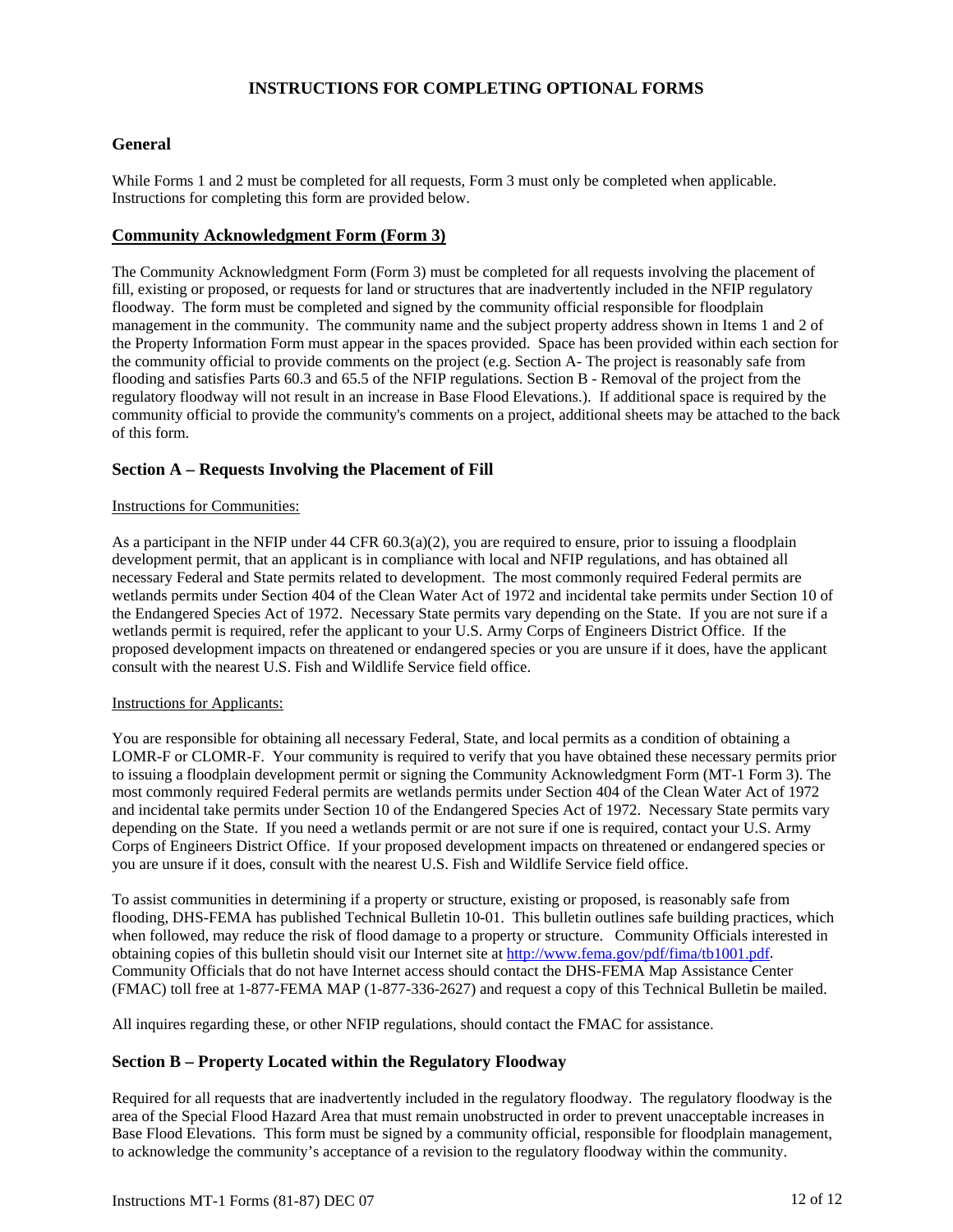# **INSTRUCTIONS FOR COMPLETING OPTIONAL FORMS**

#### **General**

While Forms 1 and 2 must be completed for all requests, Form 3 must only be completed when applicable. Instructions for completing this form are provided below.

## **Community Acknowledgment Form (Form 3)**

The Community Acknowledgment Form (Form 3) must be completed for all requests involving the placement of fill, existing or proposed, or requests for land or structures that are inadvertently included in the NFIP regulatory floodway. The form must be completed and signed by the community official responsible for floodplain management in the community. The community name and the subject property address shown in Items 1 and 2 of the Property Information Form must appear in the spaces provided. Space has been provided within each section for the community official to provide comments on the project (e.g. Section A- The project is reasonably safe from flooding and satisfies Parts 60.3 and 65.5 of the NFIP regulations. Section B - Removal of the project from the regulatory floodway will not result in an increase in Base Flood Elevations.). If additional space is required by the community official to provide the community's comments on a project, additional sheets may be attached to the back of this form.

#### **Section A – Requests Involving the Placement of Fill**

#### Instructions for Communities:

As a participant in the NFIP under 44 CFR 60.3(a)(2), you are required to ensure, prior to issuing a floodplain development permit, that an applicant is in compliance with local and NFIP regulations, and has obtained all necessary Federal and State permits related to development. The most commonly required Federal permits are wetlands permits under Section 404 of the Clean Water Act of 1972 and incidental take permits under Section 10 of the Endangered Species Act of 1972. Necessary State permits vary depending on the State. If you are not sure if a wetlands permit is required, refer the applicant to your U.S. Army Corps of Engineers District Office. If the proposed development impacts on threatened or endangered species or you are unsure if it does, have the applicant consult with the nearest U.S. Fish and Wildlife Service field office.

#### Instructions for Applicants:

You are responsible for obtaining all necessary Federal, State, and local permits as a condition of obtaining a LOMR-F or CLOMR-F. Your community is required to verify that you have obtained these necessary permits prior to issuing a floodplain development permit or signing the Community Acknowledgment Form (MT-1 Form 3). The most commonly required Federal permits are wetlands permits under Section 404 of the Clean Water Act of 1972 and incidental take permits under Section 10 of the Endangered Species Act of 1972. Necessary State permits vary depending on the State. If you need a wetlands permit or are not sure if one is required, contact your U.S. Army Corps of Engineers District Office. If your proposed development impacts on threatened or endangered species or you are unsure if it does, consult with the nearest U.S. Fish and Wildlife Service field office.

To assist communities in determining if a property or structure, existing or proposed, is reasonably safe from flooding, DHS-FEMA has published Technical Bulletin 10-01. This bulletin outlines safe building practices, which when followed, may reduce the risk of flood damage to a property or structure. Community Officials interested in obtaining copies of this bulletin should visit our Internet site at http://www.fema.gov/pdf/fima/tb1001.pdf. Community Officials that do not have Internet access should contact the DHS-FEMA Map Assistance Center (FMAC) toll free at 1-877-FEMA MAP (1-877-336-2627) and request a copy of this Technical Bulletin be mailed.

All inquires regarding these, or other NFIP regulations, should contact the FMAC for assistance.

# **Section B – Property Located within the Regulatory Floodway**

Required for all requests that are inadvertently included in the regulatory floodway. The regulatory floodway is the area of the Special Flood Hazard Area that must remain unobstructed in order to prevent unacceptable increases in Base Flood Elevations. This form must be signed by a community official, responsible for floodplain management, to acknowledge the community's acceptance of a revision to the regulatory floodway within the community.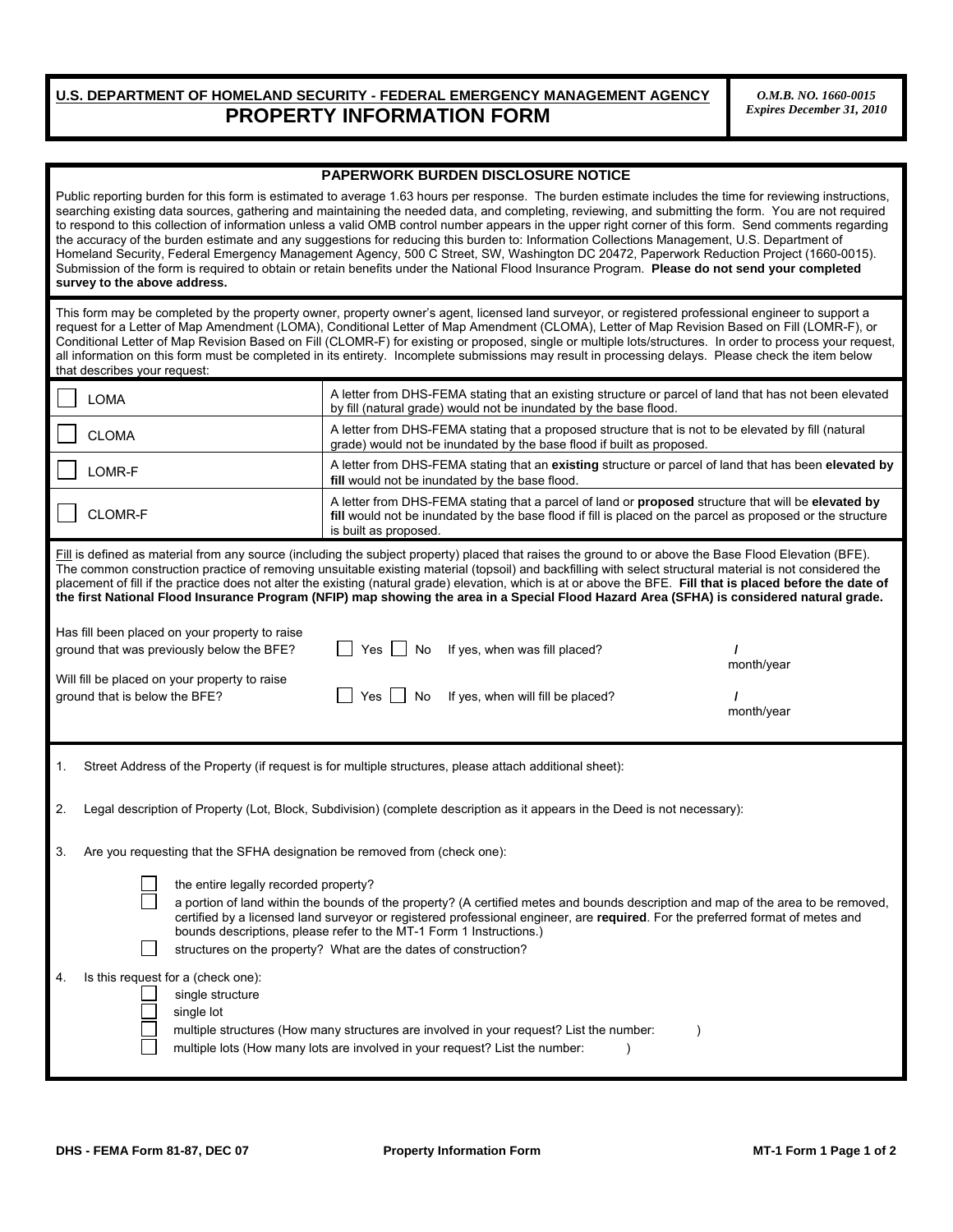# **U.S. DEPARTMENT OF HOMELAND SECURITY - FEDERAL EMERGENCY MANAGEMENT AGENCY PROPERTY INFORMATION FORM**

*O.M.B. NO. 1660-0015 Expires December 31, 2010*

#### **PAPERWORK BURDEN DISCLOSURE NOTICE**

| Public reporting burden for this form is estimated to average 1.63 hours per response. The burden estimate includes the time for reviewing instructions,<br>searching existing data sources, gathering and maintaining the needed data, and completing, reviewing, and submitting the form. You are not required<br>to respond to this collection of information unless a valid OMB control number appears in the upper right corner of this form. Send comments regarding<br>the accuracy of the burden estimate and any suggestions for reducing this burden to: Information Collections Management, U.S. Department of<br>Homeland Security, Federal Emergency Management Agency, 500 C Street, SW, Washington DC 20472, Paperwork Reduction Project (1660-0015).<br>Submission of the form is required to obtain or retain benefits under the National Flood Insurance Program. Please do not send your completed<br>survey to the above address. |                       |                                                                       |                                                                                                                                                                                                                                 |  |  |  |
|-------------------------------------------------------------------------------------------------------------------------------------------------------------------------------------------------------------------------------------------------------------------------------------------------------------------------------------------------------------------------------------------------------------------------------------------------------------------------------------------------------------------------------------------------------------------------------------------------------------------------------------------------------------------------------------------------------------------------------------------------------------------------------------------------------------------------------------------------------------------------------------------------------------------------------------------------------|-----------------------|-----------------------------------------------------------------------|---------------------------------------------------------------------------------------------------------------------------------------------------------------------------------------------------------------------------------|--|--|--|
| This form may be completed by the property owner, property owner's agent, licensed land surveyor, or registered professional engineer to support a<br>request for a Letter of Map Amendment (LOMA), Conditional Letter of Map Amendment (CLOMA), Letter of Map Revision Based on Fill (LOMR-F), or<br>Conditional Letter of Map Revision Based on Fill (CLOMR-F) for existing or proposed, single or multiple lots/structures. In order to process your request,<br>all information on this form must be completed in its entirety. Incomplete submissions may result in processing delays. Please check the item below<br>that describes your request:                                                                                                                                                                                                                                                                                               |                       |                                                                       |                                                                                                                                                                                                                                 |  |  |  |
| <b>LOMA</b>                                                                                                                                                                                                                                                                                                                                                                                                                                                                                                                                                                                                                                                                                                                                                                                                                                                                                                                                           |                       | by fill (natural grade) would not be inundated by the base flood.     | A letter from DHS-FEMA stating that an existing structure or parcel of land that has not been elevated                                                                                                                          |  |  |  |
| <b>CLOMA</b>                                                                                                                                                                                                                                                                                                                                                                                                                                                                                                                                                                                                                                                                                                                                                                                                                                                                                                                                          |                       | grade) would not be inundated by the base flood if built as proposed. | A letter from DHS-FEMA stating that a proposed structure that is not to be elevated by fill (natural                                                                                                                            |  |  |  |
| LOMR-F                                                                                                                                                                                                                                                                                                                                                                                                                                                                                                                                                                                                                                                                                                                                                                                                                                                                                                                                                |                       | fill would not be inundated by the base flood.                        | A letter from DHS-FEMA stating that an existing structure or parcel of land that has been elevated by                                                                                                                           |  |  |  |
| CLOMR-F                                                                                                                                                                                                                                                                                                                                                                                                                                                                                                                                                                                                                                                                                                                                                                                                                                                                                                                                               | is built as proposed. |                                                                       | A letter from DHS-FEMA stating that a parcel of land or <b>proposed</b> structure that will be <b>elevated by</b><br>fill would not be inundated by the base flood if fill is placed on the parcel as proposed or the structure |  |  |  |
| Fill is defined as material from any source (including the subject property) placed that raises the ground to or above the Base Flood Elevation (BFE).<br>The common construction practice of removing unsuitable existing material (topsoil) and backfilling with select structural material is not considered the<br>placement of fill if the practice does not alter the existing (natural grade) elevation, which is at or above the BFE. Fill that is placed before the date of<br>the first National Flood Insurance Program (NFIP) map showing the area in a Special Flood Hazard Area (SFHA) is considered natural grade.                                                                                                                                                                                                                                                                                                                     |                       |                                                                       |                                                                                                                                                                                                                                 |  |  |  |
| Has fill been placed on your property to raise<br>ground that was previously below the BFE?                                                                                                                                                                                                                                                                                                                                                                                                                                                                                                                                                                                                                                                                                                                                                                                                                                                           | Yes<br>No             | If yes, when was fill placed?                                         | 7<br>month/year                                                                                                                                                                                                                 |  |  |  |
| Will fill be placed on your property to raise<br>Yes    <br>No<br>If yes, when will fill be placed?<br>ground that is below the BFE?<br>month/year                                                                                                                                                                                                                                                                                                                                                                                                                                                                                                                                                                                                                                                                                                                                                                                                    |                       |                                                                       |                                                                                                                                                                                                                                 |  |  |  |
| Street Address of the Property (if request is for multiple structures, please attach additional sheet):<br>1.                                                                                                                                                                                                                                                                                                                                                                                                                                                                                                                                                                                                                                                                                                                                                                                                                                         |                       |                                                                       |                                                                                                                                                                                                                                 |  |  |  |
| 2.<br>Legal description of Property (Lot, Block, Subdivision) (complete description as it appears in the Deed is not necessary):                                                                                                                                                                                                                                                                                                                                                                                                                                                                                                                                                                                                                                                                                                                                                                                                                      |                       |                                                                       |                                                                                                                                                                                                                                 |  |  |  |
| 3.<br>Are you requesting that the SFHA designation be removed from (check one):                                                                                                                                                                                                                                                                                                                                                                                                                                                                                                                                                                                                                                                                                                                                                                                                                                                                       |                       |                                                                       |                                                                                                                                                                                                                                 |  |  |  |
| the entire legally recorded property?<br>a portion of land within the bounds of the property? (A certified metes and bounds description and map of the area to be removed,<br>certified by a licensed land surveyor or registered professional engineer, are required. For the preferred format of metes and<br>bounds descriptions, please refer to the MT-1 Form 1 Instructions.)                                                                                                                                                                                                                                                                                                                                                                                                                                                                                                                                                                   |                       |                                                                       |                                                                                                                                                                                                                                 |  |  |  |

|  |  | structures on the property? What are the dates of construction? |
|--|--|-----------------------------------------------------------------|
|--|--|-----------------------------------------------------------------|

| 4. | Is this request for a (check one): |  |  |  |  |
|----|------------------------------------|--|--|--|--|
|    | single structure                   |  |  |  |  |
|    | $\vert \vert$ single lot           |  |  |  |  |

| multiple structures (How many structures are involved in your request? List the number: |  |
|-----------------------------------------------------------------------------------------|--|
|                                                                                         |  |

| multiple lots (How many lots are involved in your request? List the number: |  |
|-----------------------------------------------------------------------------|--|
|-----------------------------------------------------------------------------|--|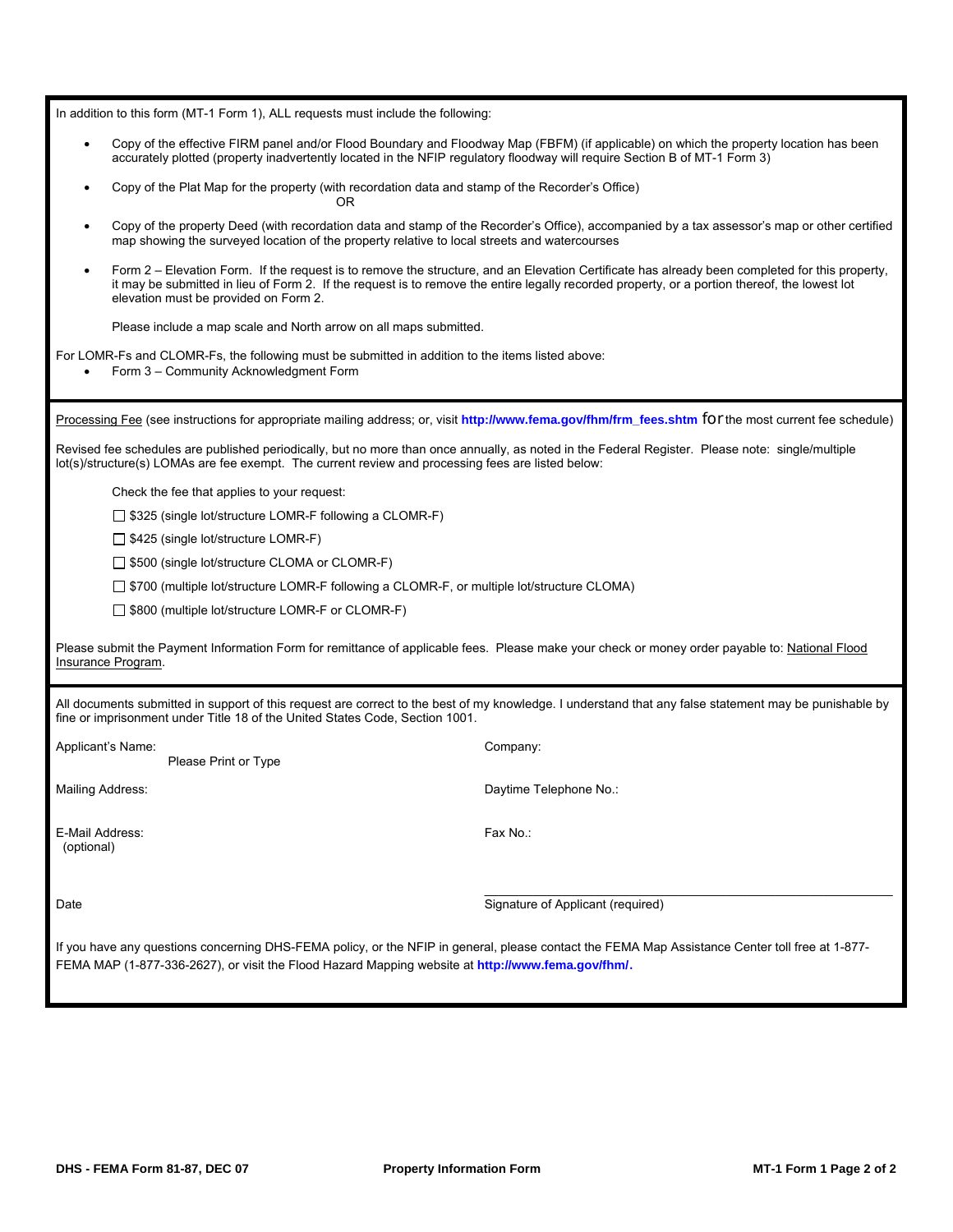In addition to this form (MT-1 Form 1), ALL requests must include the following:

- Copy of the effective FIRM panel and/or Flood Boundary and Floodway Map (FBFM) (if applicable) on which the property location has been accurately plotted (property inadvertently located in the NFIP regulatory floodway will require Section B of MT-1 Form 3)
- Copy of the Plat Map for the property (with recordation data and stamp of the Recorder's Office) OR
- Copy of the property Deed (with recordation data and stamp of the Recorder's Office), accompanied by a tax assessor's map or other certified map showing the surveyed location of the property relative to local streets and watercourses
- Form 2 Elevation Form. If the request is to remove the structure, and an Elevation Certificate has already been completed for this property, it may be submitted in lieu of Form 2. If the request is to remove the entire legally recorded property, or a portion thereof, the lowest lot elevation must be provided on Form 2.

Please include a map scale and North arrow on all maps submitted.

For LOMR-Fs and CLOMR-Fs, the following must be submitted in addition to the items listed above:

• Form 3 – Community Acknowledgment Form

Processing Fee (see instructions for appropriate mailing address; or, visit **http://www.fema.gov/fhm/frm\_fees.shtm** for the most current fee schedule)

Revised fee schedules are published periodically, but no more than once annually, as noted in the Federal Register. Please note: single/multiple lot(s)/structure(s) LOMAs are fee exempt. The current review and processing fees are listed below:

Check the fee that applies to your request:

 $\Box$  \$325 (single lot/structure LOMR-F following a CLOMR-F)

 $\Box$  \$425 (single lot/structure LOMR-F)

□ \$500 (single lot/structure CLOMA or CLOMR-F)

□ \$700 (multiple lot/structure LOMR-F following a CLOMR-F, or multiple lot/structure CLOMA)

 $\Box$  \$800 (multiple lot/structure LOMR-F or CLOMR-F)

Please submit the Payment Information Form for remittance of applicable fees. Please make your check or money order payable to: National Flood Insurance Program.

All documents submitted in support of this request are correct to the best of my knowledge. I understand that any false statement may be punishable by fine or imprisonment under Title 18 of the United States Code, Section 1001.

| Applicant's Name:             | Please Print or Type | Company:                          |
|-------------------------------|----------------------|-----------------------------------|
| <b>Mailing Address:</b>       |                      | Daytime Telephone No.:            |
| E-Mail Address:<br>(optional) |                      | Fax No.:                          |
| Date                          |                      | Signature of Applicant (required) |
| $\sim$ $\sim$                 | $\cdots$<br>$\sim$   |                                   |

If you have any questions concerning DHS-FEMA policy, or the NFIP in general, please contact the FEMA Map Assistance Center toll free at 1-877- FEMA MAP (1-877-336-2627), or visit the Flood Hazard Mapping website at **http://www.fema.gov/fhm/**.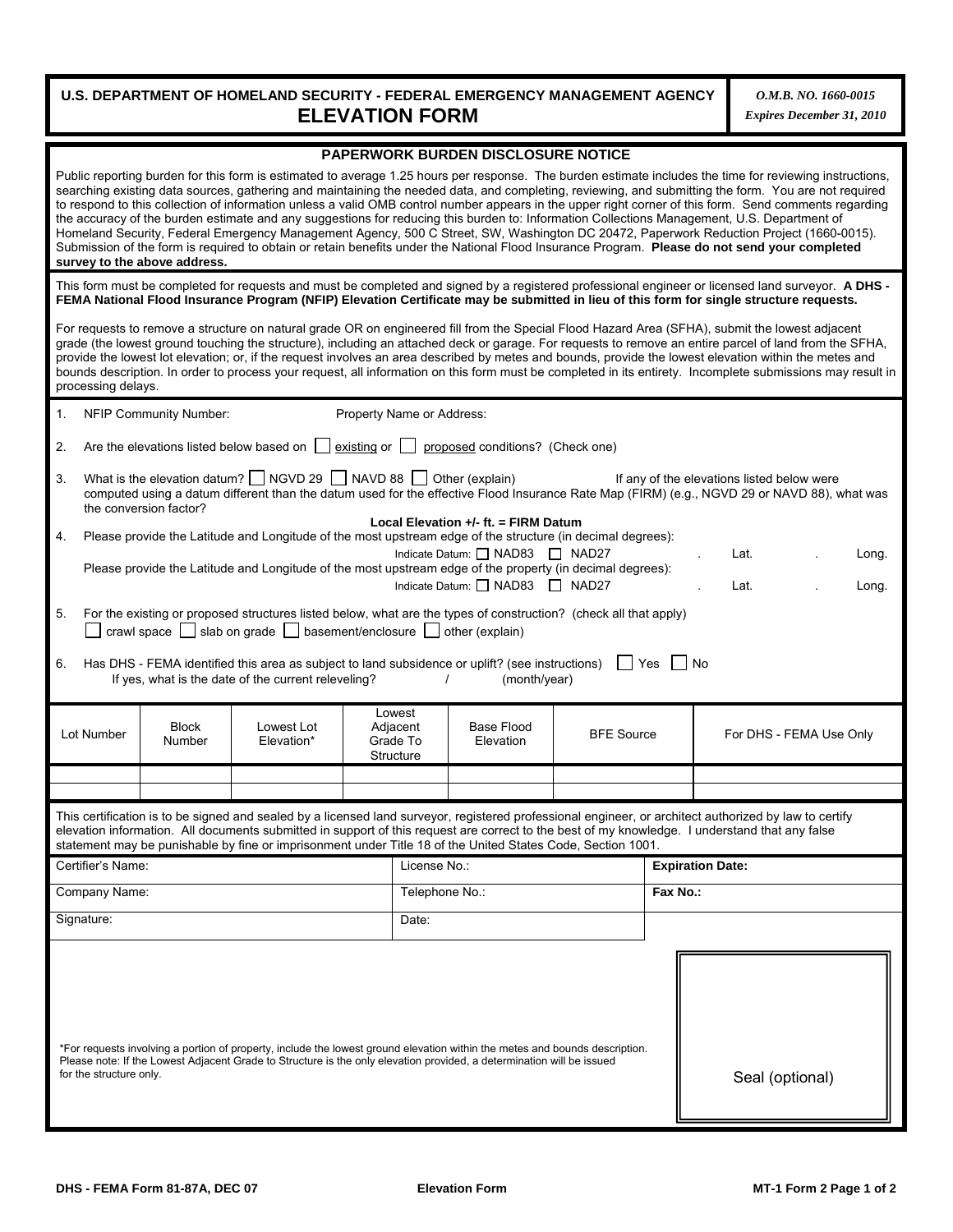# **U.S. DEPARTMENT OF HOMELAND SECURITY - FEDERAL EMERGENCY MANAGEMENT AGENCY ELEVATION FORM**

*O.M.B. NO. 1660-0015 Expires December 31, 2010*

| PAPERWORK BURDEN DISCLOSURE NOTICE                                                                                                                                                                                                                                                                                                                                                                                                                                                                                                                                                                                                                                                                                                                                                                                                                                                                                                                    |                        |                                                                                                                                                                                                                                                                                                                                                                 |  |                                             |                                                                                                            |                   |          |                                                                                                                                                                                                                                                                                                                                                                                                                                                                                                                                                                                                                                   |
|-------------------------------------------------------------------------------------------------------------------------------------------------------------------------------------------------------------------------------------------------------------------------------------------------------------------------------------------------------------------------------------------------------------------------------------------------------------------------------------------------------------------------------------------------------------------------------------------------------------------------------------------------------------------------------------------------------------------------------------------------------------------------------------------------------------------------------------------------------------------------------------------------------------------------------------------------------|------------------------|-----------------------------------------------------------------------------------------------------------------------------------------------------------------------------------------------------------------------------------------------------------------------------------------------------------------------------------------------------------------|--|---------------------------------------------|------------------------------------------------------------------------------------------------------------|-------------------|----------|-----------------------------------------------------------------------------------------------------------------------------------------------------------------------------------------------------------------------------------------------------------------------------------------------------------------------------------------------------------------------------------------------------------------------------------------------------------------------------------------------------------------------------------------------------------------------------------------------------------------------------------|
| Public reporting burden for this form is estimated to average 1.25 hours per response. The burden estimate includes the time for reviewing instructions,<br>searching existing data sources, gathering and maintaining the needed data, and completing, reviewing, and submitting the form. You are not required<br>to respond to this collection of information unless a valid OMB control number appears in the upper right corner of this form. Send comments regarding<br>the accuracy of the burden estimate and any suggestions for reducing this burden to: Information Collections Management, U.S. Department of<br>Homeland Security, Federal Emergency Management Agency, 500 C Street, SW, Washington DC 20472, Paperwork Reduction Project (1660-0015).<br>Submission of the form is required to obtain or retain benefits under the National Flood Insurance Program. Please do not send your completed<br>survey to the above address. |                        |                                                                                                                                                                                                                                                                                                                                                                 |  |                                             |                                                                                                            |                   |          |                                                                                                                                                                                                                                                                                                                                                                                                                                                                                                                                                                                                                                   |
|                                                                                                                                                                                                                                                                                                                                                                                                                                                                                                                                                                                                                                                                                                                                                                                                                                                                                                                                                       |                        |                                                                                                                                                                                                                                                                                                                                                                 |  |                                             |                                                                                                            |                   |          | This form must be completed for requests and must be completed and signed by a registered professional engineer or licensed land surveyor. A DHS -<br>FEMA National Flood Insurance Program (NFIP) Elevation Certificate may be submitted in lieu of this form for single structure requests.                                                                                                                                                                                                                                                                                                                                     |
| processing delays.                                                                                                                                                                                                                                                                                                                                                                                                                                                                                                                                                                                                                                                                                                                                                                                                                                                                                                                                    |                        |                                                                                                                                                                                                                                                                                                                                                                 |  |                                             |                                                                                                            |                   |          | For requests to remove a structure on natural grade OR on engineered fill from the Special Flood Hazard Area (SFHA), submit the lowest adjacent<br>grade (the lowest ground touching the structure), including an attached deck or garage. For requests to remove an entire parcel of land from the SFHA,<br>provide the lowest lot elevation; or, if the request involves an area described by metes and bounds, provide the lowest elevation within the metes and<br>bounds description. In order to process your request, all information on this form must be completed in its entirety. Incomplete submissions may result in |
| 1.                                                                                                                                                                                                                                                                                                                                                                                                                                                                                                                                                                                                                                                                                                                                                                                                                                                                                                                                                    | NFIP Community Number: |                                                                                                                                                                                                                                                                                                                                                                 |  | Property Name or Address:                   |                                                                                                            |                   |          |                                                                                                                                                                                                                                                                                                                                                                                                                                                                                                                                                                                                                                   |
| 2.                                                                                                                                                                                                                                                                                                                                                                                                                                                                                                                                                                                                                                                                                                                                                                                                                                                                                                                                                    |                        | Are the elevations listed below based on $\vert$   existing or $\vert$                                                                                                                                                                                                                                                                                          |  |                                             | proposed conditions? (Check one)                                                                           |                   |          |                                                                                                                                                                                                                                                                                                                                                                                                                                                                                                                                                                                                                                   |
| 3.                                                                                                                                                                                                                                                                                                                                                                                                                                                                                                                                                                                                                                                                                                                                                                                                                                                                                                                                                    | the conversion factor? | What is the elevation datum?   NGVD 29   NAVD 88                                                                                                                                                                                                                                                                                                                |  |                                             | Other (explain)                                                                                            |                   |          | If any of the elevations listed below were<br>computed using a datum different than the datum used for the effective Flood Insurance Rate Map (FIRM) (e.g., NGVD 29 or NAVD 88), what was                                                                                                                                                                                                                                                                                                                                                                                                                                         |
| 4.                                                                                                                                                                                                                                                                                                                                                                                                                                                                                                                                                                                                                                                                                                                                                                                                                                                                                                                                                    |                        | Please provide the Latitude and Longitude of the most upstream edge of the structure (in decimal degrees):<br>Please provide the Latitude and Longitude of the most upstream edge of the property (in decimal degrees):                                                                                                                                         |  |                                             | Local Elevation +/- ft. = FIRM Datum<br>Indicate Datum: C NAD83 C NAD27<br>Indicate Datum: C NAD83 C NAD27 |                   |          | Lat.<br>Long.<br>Lat.<br>Long.                                                                                                                                                                                                                                                                                                                                                                                                                                                                                                                                                                                                    |
| 5.<br>6.                                                                                                                                                                                                                                                                                                                                                                                                                                                                                                                                                                                                                                                                                                                                                                                                                                                                                                                                              |                        | For the existing or proposed structures listed below, what are the types of construction? (check all that apply)<br>crawl space $\Box$ slab on grade $\Box$ basement/enclosure $\Box$ other (explain)<br>Has DHS - FEMA identified this area as subject to land subsidence or uplift? (see instructions)<br>If yes, what is the date of the current releveling? |  |                                             | (month/year)                                                                                               | Yes               |          | No                                                                                                                                                                                                                                                                                                                                                                                                                                                                                                                                                                                                                                |
| Lot Number                                                                                                                                                                                                                                                                                                                                                                                                                                                                                                                                                                                                                                                                                                                                                                                                                                                                                                                                            | <b>Block</b><br>Number | Lowest Lot<br>Elevation*                                                                                                                                                                                                                                                                                                                                        |  | Lowest<br>Adjacent<br>Grade To<br>Structure | Base Flood<br>Elevation                                                                                    | <b>BFE Source</b> |          | For DHS - FEMA Use Only                                                                                                                                                                                                                                                                                                                                                                                                                                                                                                                                                                                                           |
|                                                                                                                                                                                                                                                                                                                                                                                                                                                                                                                                                                                                                                                                                                                                                                                                                                                                                                                                                       |                        |                                                                                                                                                                                                                                                                                                                                                                 |  |                                             |                                                                                                            |                   |          |                                                                                                                                                                                                                                                                                                                                                                                                                                                                                                                                                                                                                                   |
|                                                                                                                                                                                                                                                                                                                                                                                                                                                                                                                                                                                                                                                                                                                                                                                                                                                                                                                                                       |                        | statement may be punishable by fine or imprisonment under Title 18 of the United States Code, Section 1001.                                                                                                                                                                                                                                                     |  |                                             |                                                                                                            |                   |          | This certification is to be signed and sealed by a licensed land surveyor, registered professional engineer, or architect authorized by law to certify<br>elevation information. All documents submitted in support of this request are correct to the best of my knowledge. I understand that any false                                                                                                                                                                                                                                                                                                                          |
| Certifier's Name:                                                                                                                                                                                                                                                                                                                                                                                                                                                                                                                                                                                                                                                                                                                                                                                                                                                                                                                                     |                        |                                                                                                                                                                                                                                                                                                                                                                 |  | License No.:                                |                                                                                                            |                   |          | <b>Expiration Date:</b>                                                                                                                                                                                                                                                                                                                                                                                                                                                                                                                                                                                                           |
| Company Name:                                                                                                                                                                                                                                                                                                                                                                                                                                                                                                                                                                                                                                                                                                                                                                                                                                                                                                                                         |                        |                                                                                                                                                                                                                                                                                                                                                                 |  | Telephone No.:                              |                                                                                                            |                   | Fax No.: |                                                                                                                                                                                                                                                                                                                                                                                                                                                                                                                                                                                                                                   |
| Signature:                                                                                                                                                                                                                                                                                                                                                                                                                                                                                                                                                                                                                                                                                                                                                                                                                                                                                                                                            |                        |                                                                                                                                                                                                                                                                                                                                                                 |  | Date:                                       |                                                                                                            |                   |          |                                                                                                                                                                                                                                                                                                                                                                                                                                                                                                                                                                                                                                   |
| *For requests involving a portion of property, include the lowest ground elevation within the metes and bounds description.<br>Please note: If the Lowest Adjacent Grade to Structure is the only elevation provided, a determination will be issued<br>for the structure only.<br>Seal (optional)                                                                                                                                                                                                                                                                                                                                                                                                                                                                                                                                                                                                                                                    |                        |                                                                                                                                                                                                                                                                                                                                                                 |  |                                             |                                                                                                            |                   |          |                                                                                                                                                                                                                                                                                                                                                                                                                                                                                                                                                                                                                                   |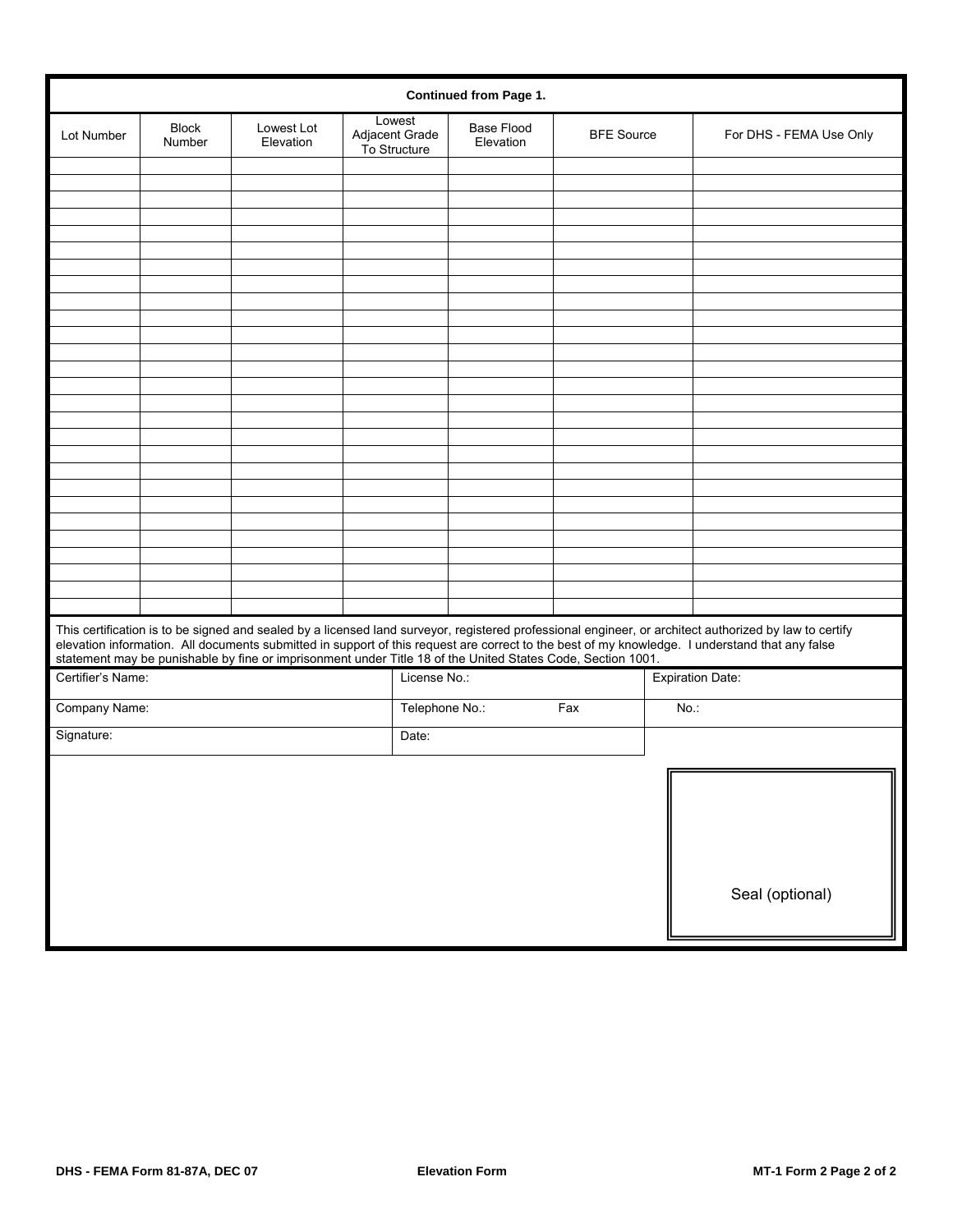|                   | <b>Continued from Page 1.</b> |                                                                                                             |       |                                          |                                |                   |     |                                                                                                                                                                                                                                                                                                          |
|-------------------|-------------------------------|-------------------------------------------------------------------------------------------------------------|-------|------------------------------------------|--------------------------------|-------------------|-----|----------------------------------------------------------------------------------------------------------------------------------------------------------------------------------------------------------------------------------------------------------------------------------------------------------|
| Lot Number        | <b>Block</b><br>Number        | Lowest Lot<br>Elevation                                                                                     |       | Lowest<br>Adjacent Grade<br>To Structure | <b>Base Flood</b><br>Elevation | <b>BFE Source</b> |     | For DHS - FEMA Use Only                                                                                                                                                                                                                                                                                  |
|                   |                               |                                                                                                             |       |                                          |                                |                   |     |                                                                                                                                                                                                                                                                                                          |
|                   |                               |                                                                                                             |       |                                          |                                |                   |     |                                                                                                                                                                                                                                                                                                          |
|                   |                               |                                                                                                             |       |                                          |                                |                   |     |                                                                                                                                                                                                                                                                                                          |
|                   |                               |                                                                                                             |       |                                          |                                |                   |     |                                                                                                                                                                                                                                                                                                          |
|                   |                               |                                                                                                             |       |                                          |                                |                   |     |                                                                                                                                                                                                                                                                                                          |
|                   |                               |                                                                                                             |       |                                          |                                |                   |     |                                                                                                                                                                                                                                                                                                          |
|                   |                               |                                                                                                             |       |                                          |                                |                   |     |                                                                                                                                                                                                                                                                                                          |
|                   |                               |                                                                                                             |       |                                          |                                |                   |     |                                                                                                                                                                                                                                                                                                          |
|                   |                               |                                                                                                             |       |                                          |                                |                   |     |                                                                                                                                                                                                                                                                                                          |
|                   |                               |                                                                                                             |       |                                          |                                |                   |     |                                                                                                                                                                                                                                                                                                          |
|                   |                               |                                                                                                             |       |                                          |                                |                   |     |                                                                                                                                                                                                                                                                                                          |
|                   |                               |                                                                                                             |       |                                          |                                |                   |     |                                                                                                                                                                                                                                                                                                          |
|                   |                               |                                                                                                             |       |                                          |                                |                   |     |                                                                                                                                                                                                                                                                                                          |
|                   |                               |                                                                                                             |       |                                          |                                |                   |     |                                                                                                                                                                                                                                                                                                          |
|                   |                               |                                                                                                             |       |                                          |                                |                   |     |                                                                                                                                                                                                                                                                                                          |
|                   |                               |                                                                                                             |       |                                          |                                |                   |     |                                                                                                                                                                                                                                                                                                          |
|                   |                               |                                                                                                             |       |                                          |                                |                   |     |                                                                                                                                                                                                                                                                                                          |
|                   |                               |                                                                                                             |       |                                          |                                |                   |     |                                                                                                                                                                                                                                                                                                          |
|                   |                               |                                                                                                             |       |                                          |                                |                   |     |                                                                                                                                                                                                                                                                                                          |
|                   |                               |                                                                                                             |       |                                          |                                |                   |     |                                                                                                                                                                                                                                                                                                          |
|                   |                               |                                                                                                             |       |                                          |                                |                   |     |                                                                                                                                                                                                                                                                                                          |
|                   |                               |                                                                                                             |       |                                          |                                |                   |     |                                                                                                                                                                                                                                                                                                          |
|                   |                               |                                                                                                             |       |                                          |                                |                   |     |                                                                                                                                                                                                                                                                                                          |
|                   |                               | statement may be punishable by fine or imprisonment under Title 18 of the United States Code, Section 1001. |       |                                          |                                |                   |     | This certification is to be signed and sealed by a licensed land surveyor, registered professional engineer, or architect authorized by law to certify<br>elevation information. All documents submitted in support of this request are correct to the best of my knowledge. I understand that any false |
| Certifier's Name: |                               |                                                                                                             |       | License No.:                             |                                |                   |     | <b>Expiration Date:</b>                                                                                                                                                                                                                                                                                  |
| Company Name:     |                               |                                                                                                             |       | Telephone No.:                           |                                | Fax               | No. |                                                                                                                                                                                                                                                                                                          |
| Signature:        |                               |                                                                                                             | Date: |                                          |                                |                   |     |                                                                                                                                                                                                                                                                                                          |
|                   |                               |                                                                                                             |       |                                          |                                |                   |     |                                                                                                                                                                                                                                                                                                          |
|                   |                               |                                                                                                             |       |                                          |                                |                   |     |                                                                                                                                                                                                                                                                                                          |
|                   |                               |                                                                                                             |       |                                          |                                |                   |     |                                                                                                                                                                                                                                                                                                          |
|                   |                               |                                                                                                             |       |                                          |                                |                   |     |                                                                                                                                                                                                                                                                                                          |
|                   |                               |                                                                                                             |       |                                          |                                |                   |     |                                                                                                                                                                                                                                                                                                          |
|                   |                               |                                                                                                             |       |                                          |                                |                   |     |                                                                                                                                                                                                                                                                                                          |
|                   |                               |                                                                                                             |       |                                          |                                |                   |     | Seal (optional)                                                                                                                                                                                                                                                                                          |
|                   |                               |                                                                                                             |       |                                          |                                |                   |     |                                                                                                                                                                                                                                                                                                          |
|                   |                               |                                                                                                             |       |                                          |                                |                   |     |                                                                                                                                                                                                                                                                                                          |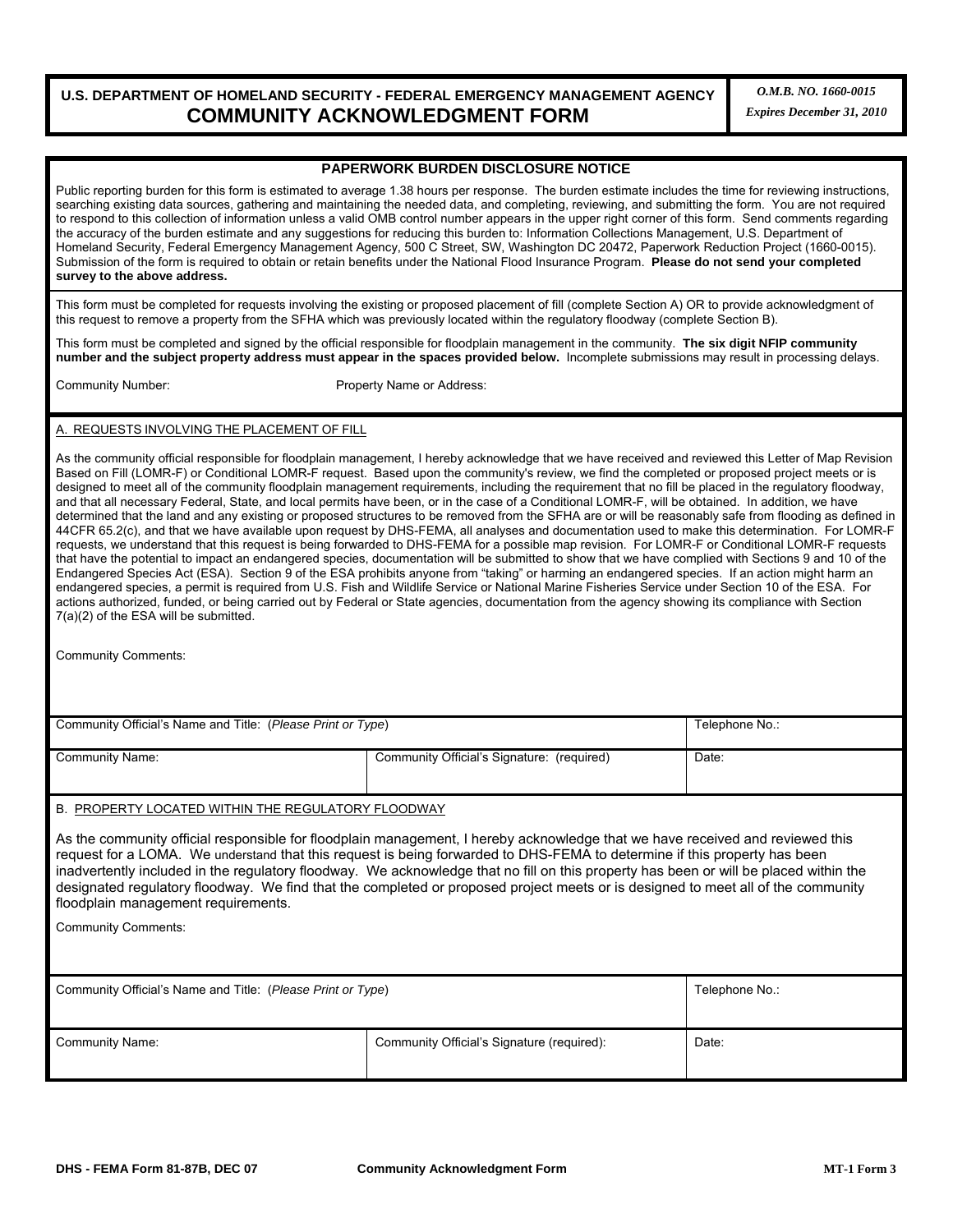# **U.S. DEPARTMENT OF HOMELAND SECURITY - FEDERAL EMERGENCY MANAGEMENT AGENCY COMMUNITY ACKNOWLEDGMENT FORM**

*O.M.B. NO. 1660-0015 Expires December 31, 2010*

#### **PAPERWORK BURDEN DISCLOSURE NOTICE**

Public reporting burden for this form is estimated to average 1.38 hours per response. The burden estimate includes the time for reviewing instructions, searching existing data sources, gathering and maintaining the needed data, and completing, reviewing, and submitting the form. You are not required to respond to this collection of information unless a valid OMB control number appears in the upper right corner of this form. Send comments regarding the accuracy of the burden estimate and any suggestions for reducing this burden to: Information Collections Management, U.S. Department of Homeland Security, Federal Emergency Management Agency, 500 C Street, SW, Washington DC 20472, Paperwork Reduction Project (1660-0015). Submission of the form is required to obtain or retain benefits under the National Flood Insurance Program. **Please do not send your completed survey to the above address.**

This form must be completed for requests involving the existing or proposed placement of fill (complete Section A) OR to provide acknowledgment of this request to remove a property from the SFHA which was previously located within the regulatory floodway (complete Section B).

This form must be completed and signed by the official responsible for floodplain management in the community. **The six digit NFIP community number and the subject property address must appear in the spaces provided below.** Incomplete submissions may result in processing delays.

Community Number:Property Name or Address:

A. REQUESTS INVOLVING THE PLACEMENT OF FILL

As the community official responsible for floodplain management, I hereby acknowledge that we have received and reviewed this Letter of Map Revision Based on Fill (LOMR-F) or Conditional LOMR-F request. Based upon the community's review, we find the completed or proposed project meets or is designed to meet all of the community floodplain management requirements, including the requirement that no fill be placed in the regulatory floodway, and that all necessary Federal, State, and local permits have been, or in the case of a Conditional LOMR-F, will be obtained. In addition, we have determined that the land and any existing or proposed structures to be removed from the SFHA are or will be reasonably safe from flooding as defined in 44CFR 65.2(c), and that we have available upon request by DHS-FEMA, all analyses and documentation used to make this determination. For LOMR-F requests, we understand that this request is being forwarded to DHS-FEMA for a possible map revision. For LOMR-F or Conditional LOMR-F requests that have the potential to impact an endangered species, documentation will be submitted to show that we have complied with Sections 9 and 10 of the Endangered Species Act (ESA). Section 9 of the ESA prohibits anyone from "taking" or harming an endangered species. If an action might harm an endangered species, a permit is required from U.S. Fish and Wildlife Service or National Marine Fisheries Service under Section 10 of the ESA. For actions authorized, funded, or being carried out by Federal or State agencies, documentation from the agency showing its compliance with Section 7(a)(2) of the ESA will be submitted.

Community Comments:

| Community Official's Name and Title: (Please Print or Type) | Telephone No.:                             |       |
|-------------------------------------------------------------|--------------------------------------------|-------|
| Community Name:                                             | Community Official's Signature: (required) | Date: |

#### B. PROPERTY LOCATED WITHIN THE REGULATORY FLOODWAY

As the community official responsible for floodplain management, I hereby acknowledge that we have received and reviewed this request for a LOMA. We understand that this request is being forwarded to DHS-FEMA to determine if this property has been inadvertently included in the regulatory floodway. We acknowledge that no fill on this property has been or will be placed within the designated regulatory floodway. We find that the completed or proposed project meets or is designed to meet all of the community floodplain management requirements.

Community Comments:

| Community Official's Name and Title: (Please Print or Type) | Telephone No.:                             |       |
|-------------------------------------------------------------|--------------------------------------------|-------|
| Community Name:                                             | Community Official's Signature (required): | Date: |